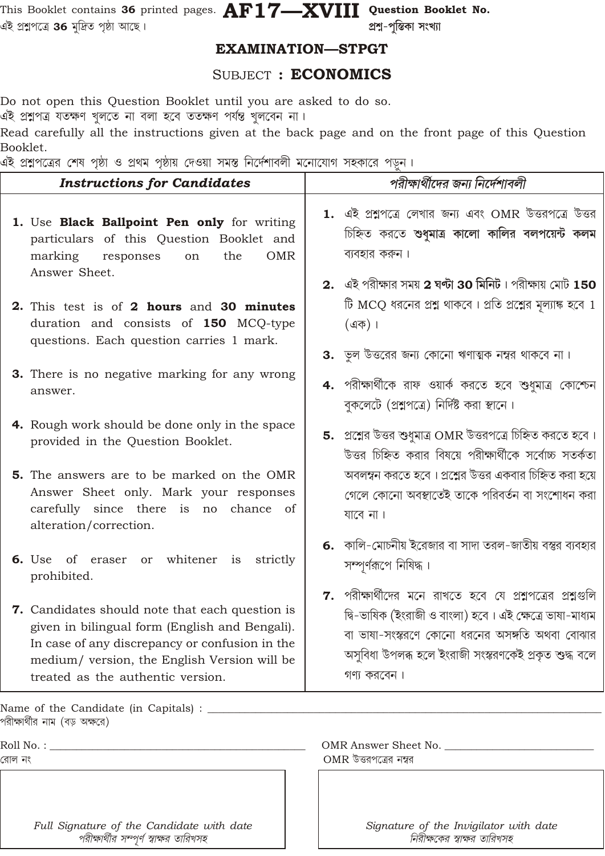This Booklet contains 36 printed pages.  $\mathbf{AF17} \!\!-\!\! \mathbf{XVIII}$  Question Booklet No. এই প্ৰশ্নপত্ৰে **36** মুদ্ৰিত পৃষ্ঠা আছে।

প্ৰশ্ন-পুস্তিকা সংখ্যা

## **EXAMINATION-STPGT**

## SUBJECT : ECONOMICS

Do not open this Question Booklet until you are asked to do so.

এই প্রশ্নপত্র যতক্ষণ খুলতে না বলা হবে ততক্ষণ পর্যন্ত খুলবেন না।

Read carefully all the instructions given at the back page and on the front page of this Question Booklet.

এই পশপত্ত্বের শেষ পূর্জা ও পথম পর্জায় দেওয়া সময়ে নির্দেশারলী মত্নোযোগ সহকাবে পাচন ।

| <b>Instructions for Candidates</b>                                                                                                                                                                                                       | পরীক্ষার্থীদের জন্য নির্দেশাবলী                                                                                                                                                                                                                  |
|------------------------------------------------------------------------------------------------------------------------------------------------------------------------------------------------------------------------------------------|--------------------------------------------------------------------------------------------------------------------------------------------------------------------------------------------------------------------------------------------------|
| 1. Use Black Ballpoint Pen only for writing<br>particulars of this Question Booklet and<br>marking<br>the<br><b>OMR</b><br>responses<br>on<br>Answer Sheet.                                                                              | 1. এই প্রশ্নপত্রে লেখার জন্য এবং OMR উত্তরপত্রে উত্তর<br>চিহ্নিত করতে শুধুমাত্র কালো কালির বলপয়েন্ট কলম<br>ব্যবহার করুন।<br>2. এই পরীক্ষার সময় 2 ঘন্টা 30 মিনিট। পরীক্ষায় মোট 150                                                             |
| 2. This test is of 2 hours and 30 minutes<br>duration and consists of 150 MCQ-type<br>questions. Each question carries 1 mark.                                                                                                           | টি MCQ ধরনের প্রশ্ন থাকবে। প্রতি প্রশ্নের মূল্যাঙ্ক হবে 1<br>$($ এক)।<br><b>3.</b> ভুল উত্তরের জন্য কোনো ঋণাত্মক নম্বর থাকবে না।                                                                                                                 |
| 3. There is no negative marking for any wrong<br>answer.                                                                                                                                                                                 | 4. পরীক্ষার্থীকে রাফ ওয়ার্ক করতে হবে শুধুমাত্র কোশ্চেন<br>বুকলেটে (প্রশ্নপত্রে) নির্দিষ্ট করা স্থানে।                                                                                                                                           |
| 4. Rough work should be done only in the space<br>provided in the Question Booklet.                                                                                                                                                      | 5. প্রশ্নের উত্তর শুধুমাত্র OMR উত্তরপত্রে চিহ্নিত করতে হবে।<br>উত্তর চিহ্নিত করার বিষয়ে পরীক্ষার্থীকে সর্বোচ্চ সতর্কতা                                                                                                                         |
| <b>5.</b> The answers are to be marked on the OMR<br>Answer Sheet only. Mark your responses<br>carefully since there is no chance of<br>alteration/correction.                                                                           | অবলম্বন করতে হবে। প্রশ্নের উত্তর একবার চিহ্নিত করা হয়ে<br>গেলে কোনো অবস্থাতেই তাকে পরিবর্তন বা সংশোধন করা<br>যাবে না।                                                                                                                           |
| 6. Use of eraser<br>whitener<br>is<br>strictly<br>or<br>prohibited.                                                                                                                                                                      | 6. কালি-মোচনীয় ইরেজার বা সাদা তরল-জাতীয় বস্তুর ব্যবহার<br>সম্পূর্ণরূপে নিষিদ্ধ।                                                                                                                                                                |
| 7. Candidates should note that each question is<br>given in bilingual form (English and Bengali).<br>In case of any discrepancy or confusion in the<br>medium/ version, the English Version will be<br>treated as the authentic version. | 7. পরীক্ষার্থীদের মনে রাখতে হবে যে প্রশ্নপত্রের প্রশ্নগুলি<br>দ্বি-ভাষিক (ইংরাজী ও বাংলা) হবে। এই ক্ষেত্রে ভাষা-মাধ্যম<br>বা ভাষা-সংস্করণে কোনো ধরনের অসঙ্গতি অথবা বোঝার<br>অসুবিধা উপলব্ধ হলে ইংরাজী সংস্করণকেই প্রকৃত শুদ্ধ বলে<br>গণ্য করবেন। |
| Name of the Candidate (in Capitals) : _                                                                                                                                                                                                  |                                                                                                                                                                                                                                                  |
| পরীক্ষার্থীর নাম (বড় অক্ষরে)                                                                                                                                                                                                            |                                                                                                                                                                                                                                                  |
| Roll No. :                                                                                                                                                                                                                               | OMR Answer Sheet No.                                                                                                                                                                                                                             |

Roll No. :

রোল নং

Full Signature of the Candidate with date পরীক্ষার্থীর সম্পূর্ণ স্বাক্ষর তারিখসহ

Signature of the Invigilator with date নিরীক্ষকের স্বাক্ষর তারিখসহ

 $OMR$  উত্তরপত্রের নম্বর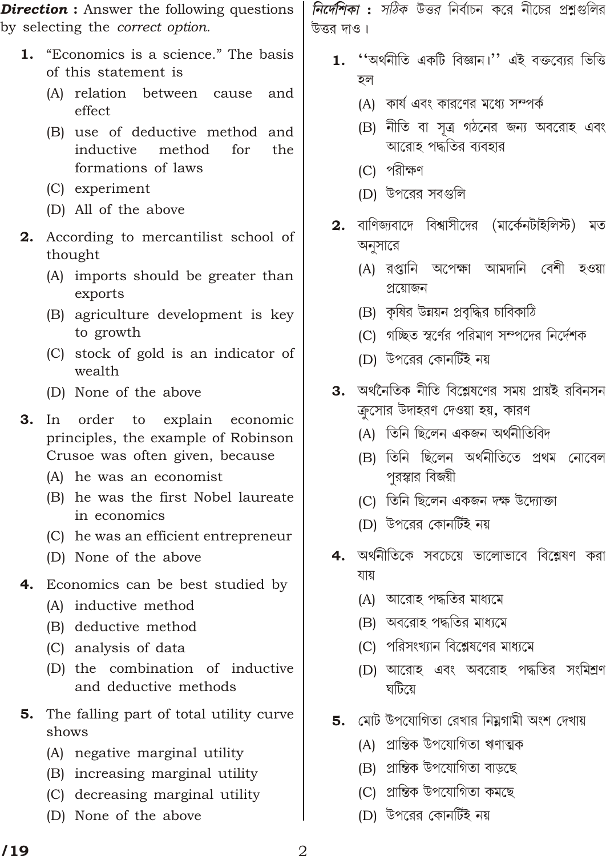**Direction :** Answer the following questions by selecting the *correct option*.

- 1. "Economics is a science." The basis of this statement is
	- (A) relation between cause and effect
	- (B) use of deductive method and inductive method for the formations of laws
	- (C) experiment
	- (D) All of the above
- 2. According to mercantilist school of thought
	- (A) imports should be greater than exports
	- (B) agriculture development is key to growth
	- (C) stock of gold is an indicator of wealth
	- (D) None of the above
- $3.$  $In$ order to explain economic principles, the example of Robinson Crusoe was often given, because
	- (A) he was an economist
	- (B) he was the first Nobel laureate in economics
	- (C) he was an efficient entrepreneur
	- (D) None of the above
- 4. Economics can be best studied by
	- (A) inductive method
	- (B) deductive method
	- (C) analysis of data
	- (D) the combination of inductive and deductive methods
- The falling part of total utility curve 5. shows
	- (A) negative marginal utility
	- (B) increasing marginal utility
	- (C) decreasing marginal utility
	- (D) None of the above

*নির্দেশিকা : সঠিক উত্তর* নির্বাচন করে নীচের প্রশ্নগুলির উত্তর দাও।

- ''অর্থনীতি একটি বিজ্ঞান।'' এই বক্তব্যের ভিত্তি 1. হল
	- (A) কার্য এবং কারণের মধ্যে সম্পর্ক
	- (B) নীতি বা সত্ৰ গঠনের জন্য অবরোহ এবং আরোহ পদ্ধতির ব্যবহার
	- (C) পরীক্ষণ
	- (D) উপরের সবগুলি
- 2. বাণিজ্যবাদে বিশ্বাসীদের (মার্কেনটাইলিস্ট) মত অনুসারে
	- (A) রপ্তানি অপেক্ষা আমদানি বেশী হওয়া প্ৰয়োজন
	- (B) কৃষির উন্নয়ন প্রবৃদ্ধির চাবিকাঠি
	- (C) গচ্ছিত স্বর্ণের পরিমাণ সম্পদের নির্দেশক
	- (D) উপরের কোনর্টিই নয়
- **3.** অর্থনৈতিক নীতি বিশ্লেষণের সময় প্রায়ই রবিনসন ক্রসোর উদাহরণ দেওয়া হয়, কারণ
	- (A) তিনি ছিলেন একজন অৰ্থনীতিবিদ
	- (B) তিনি ছিলেন অৰ্থনীতিতে প্ৰথম নোবেল পুরস্কার বিজয়ী
	- (C) তিনি ছিলেন একজন দক্ষ উদ্যোক্তা
	- (D) উপরের কোনর্টিই নয়
- অর্থনীতিকে সবচেয়ে ভালোভাবে বিশ্লেষণ করা 4. যায়
	- (A) আরোহ পদ্ধতির মাধ্যমে
	- (B) অবরোহ পদ্ধতির মাধ্যমে
	- (C) পরিসংখ্যান বিশ্লেষণের মাধ্যমে
	- (D) আরোহ এবং অবরোহ পদ্ধতির সংমিশ্রণ ঘটিয়ে
- **5.** মোট উপযোগিতা রেখার নিয়গামী অংশ দেখায়
	- (A) প্ৰান্তিক উপযোগিতা ঋণাত্মক
	- (B) প্রান্তিক উপযোগিতা বাড়ছে
	- (C) প্ৰান্তিক উপযোগিতা কমছে
	- (D) উপরের কোনর্টিই নয়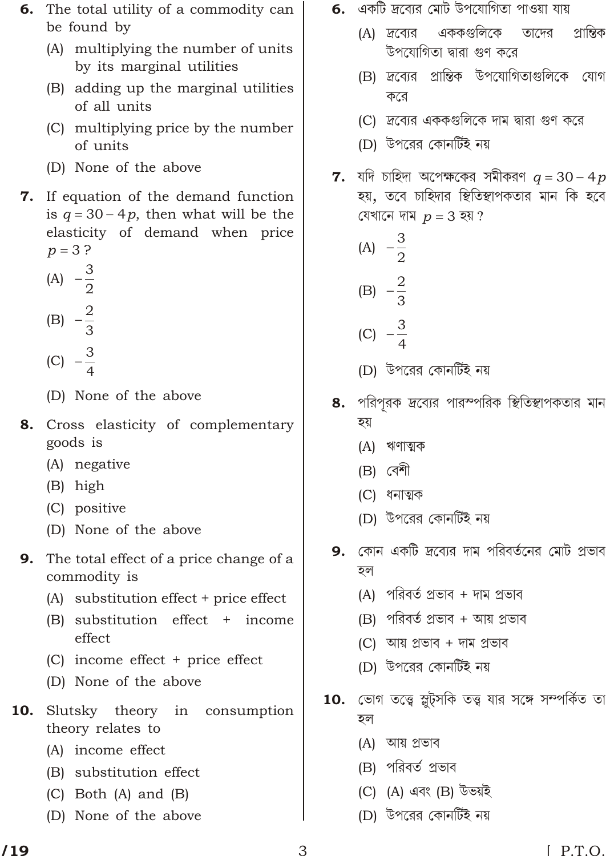- The total utility of a commodity can 6. be found by
	- (A) multiplying the number of units by its marginal utilities
	- (B) adding up the marginal utilities of all units
	- (C) multiplying price by the number of units
	- (D) None of the above
- 7. If equation of the demand function is  $q \quad 30 \quad 4p$ , then what will be the elasticity of demand when price  $3<sup>2</sup>$  $p$ 
	- $rac{3}{2}$  $(A)$
	- $\frac{2}{3}$  $(B)$
	-
	- $\frac{3}{4}$  $(C)$
	- (D) None of the above
- 8. Cross elasticity of complementary goods is
	- (A) negative
	- (B) high
	- (C) positive
	- (D) None of the above
- 9. The total effect of a price change of a commodity is
	- (A) substitution effect + price effect
	- (B) substitution effect + income effect
	- (C) income effect + price effect
	- (D) None of the above
- 10. Slutsky theory in consumption theory relates to
	- (A) income effect
	- (B) substitution effect
	- $(C)$  Both  $(A)$  and  $(B)$
	- (D) None of the above
- **6.** একটি দ্রব্যের মোট উপযোগিতা পাওয়া যায়
	- এককগুলিকে প্রান্তিক  $(A)$  দ্রব্যের তাদের উপযোগিতা দ্বারা গুণ করে
	- (B) দ্রব্যের প্রান্তিক উপযোগিতাগুলিকে যোগ করে
	- (C) দ্রব্যের এককগুলিকে দাম দ্বারা গুণ করে
	- (D) উপরের কোনর্টিই নয়
- **7.** যদি চাহিদা অপেক্ষকের সমীকরণ  $q = 30 4p$ হয়, তবে চাহিদার স্থিতিস্থাপকতার মান কি হবে যেখানে দাম  $p$  3 হয়?
	- $rac{3}{2}$  $(A)$
	- $\frac{2}{3}$  $(B)$
	-
	- $\frac{3}{4}$  $(C)$
	- (D) উপরের কোনর্টিই নয়
- 8. পরিপরক দ্রব্যের পারস্পরিক স্থিতিস্থাপকতার মান হয়
	- (A) ঋণাত্মক
	- $(B)$  বেশী
	- (C) ধনাত্মক
	- (D) উপরের কোনর্টিই নয়
- **9.** কোন একটি দ্রব্যের দাম পরিবর্তনের মোট প্রভাব হল
	- (A) পরিবর্ত প্রভাব + দাম প্রভাব
	- (B) পরিবর্ত প্রভাব + আয় প্রভাব
	- (C) আয় প্ৰভাব + দাম প্ৰভাব
	- (D) উপরের কোনর্টিই নয়
- 10. ভোগ তত্ত্বে স্লুট্সকি তত্ত্ব যার সঙ্গে সম্পর্কিত তা হল
	- (A) আয় প্ৰভাব
	- (B) পরিবর্ত প্রভাব
	- (C) (A) এবং (B) উভয়ই
	- (D) উপরের কোনর্টিই নয়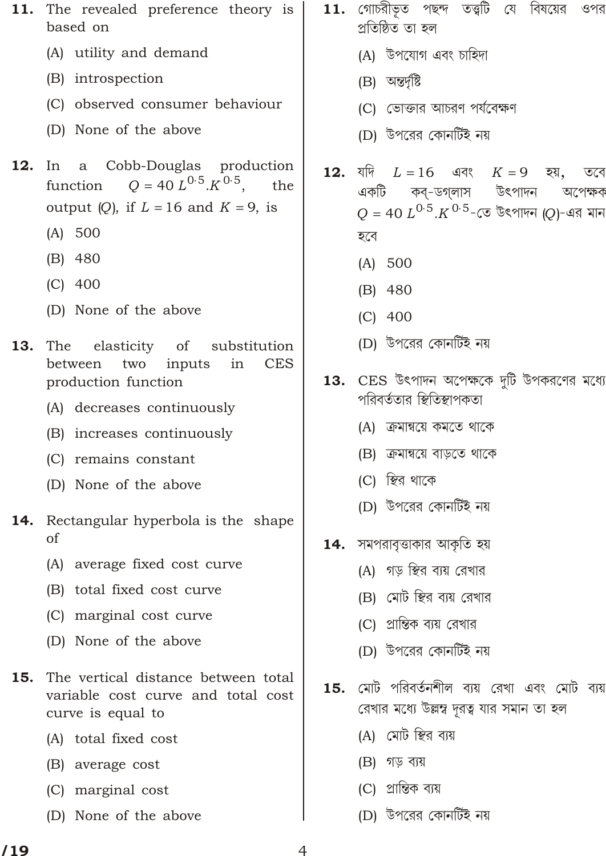- The revealed preference theory is 11. based on
	- (A) utility and demand
	- (B) introspection
	- (C) observed consumer behaviour
	- (D) None of the above
- $12.$ In a Cobb-Douglas production  $Q = 40 L^{0.5} K^{0.5}$ function the output  $(Q)$ , if L 16 and K 9, is
	- $(A) 500$
	- $(B)$  480
	- $(C)$  400
	- (D) None of the above
- The elasticity of 13. substitution between two inputs in **CES** production function
	- (A) decreases continuously
	- (B) increases continuously
	- (C) remains constant
	- (D) None of the above
- Rectangular hyperbola is the shape 14.  $\alpha$ f
	- (A) average fixed cost curve
	- (B) total fixed cost curve
	- (C) marginal cost curve
	- (D) None of the above
- The vertical distance between total  $15.$ variable cost curve and total cost curve is equal to
	- (A) total fixed cost
	- (B) average cost
	- (C) marginal cost
	- (D) None of the above
- $11.$  গোচরীভূত পছন্দ তত্ত্বটি যে বিষয়ের ওপর প্ৰতিষ্ঠিত তা হল
	- (A) উপযোগ এবং চাহিদা
	- (B) অন্তৰ্দৃষ্টি
	- (C) ভোক্তার আচরণ পর্যবেক্ষণ
	- (D) উপরের কোনর্টিই নয়
- যদি 12. L 16 এবং  $K<sub>9</sub>$ হয়, তবে একটি কব-ডগলাস উৎপাদন অপেক্ষক  $40~L^0$   $^5$ . $K$   $^0$   $^5$ -তে উৎপাদন (Q)-এর মান  $O$ হবে
	- $(A) 500$
	- $(B)$  480
	- $(C)$  400
	- (D) উপরের কোনর্টিই নয়
- $13.$  CES উৎপাদন অপেক্ষকে দটি উপকরণের মধ্যে পরিবর্ততার স্থিতিস্থাপকতা
	- (A) ক্রমান্বয়ে কমতে থাকে
	- (B) ক্রমান্বয়ে বাড়তে থাকে
	- (C) স্থির থাকে
	- (D) উপরের কোনর্টিই নয়
- $14.$  সমপরাবৃত্তাকার আকৃতি হয়
	- (A) গড় স্থির ব্যয় রেখার
	- (B) মোট স্থির ব্যয় রেখার
	- (C) প্রান্তিক ব্যয় রেখার
	- (D) উপরের কোনর্টিই নয়
- $15.$  মোট পরিবর্তনশীল ব্যয় রেখা এবং মোট ব্যয় রেখার মধ্যে উল্লম্ব দূরত্ব যার সমান তা হল
	- (A) মোট স্থির ব্যয়
	- (B) গড় ব্যয়
	- (C) প্রান্তিক ব্যয়
	- (D) উপরের কোনর্টিই নয়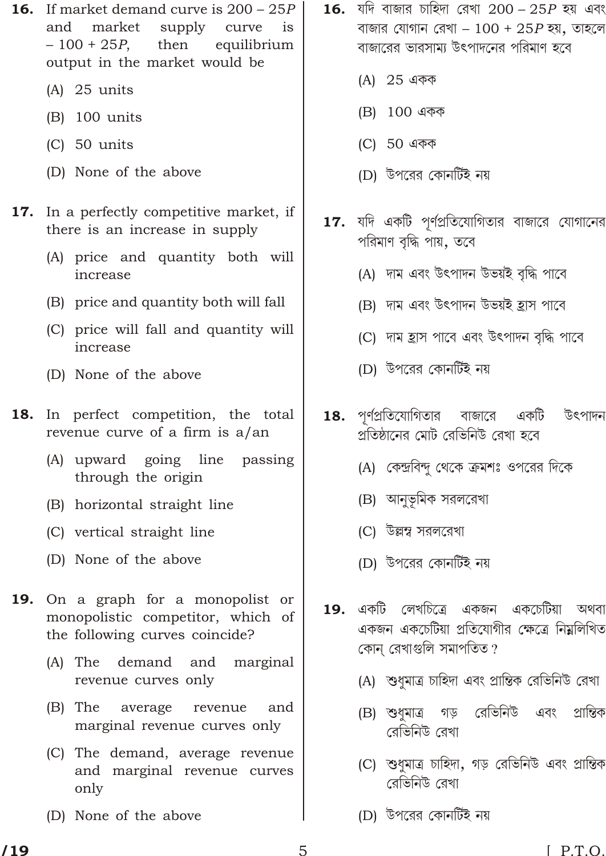- 16. If market demand curve is 200 25*P* and market supply curve is – 100 + 25*P*, then equilibrium output in the market would be
	- (A) 25 units
	- (B) 100 units
	- (C) 50 units
	- (D) None of the above
- 17. In a perfectly competitive market, if there is an increase in supply
	- (A) price and quantity both will increase
	- (B) price and quantity both will fall
	- (C) price will fall and quantity will increase
	- (D) None of the above
- 18. In perfect competition, the total revenue curve of a firm is a/an
	- (A) upward going line passing through the origin
	- (B) horizontal straight line
	- (C) vertical straight line
	- (D) None of the above
- 19. On a graph for a monopolist or monopolistic competitor, which of the following curves coincide?
	- (A) The demand and marginal revenue curves only
	- (B) The average revenue and marginal revenue curves only
	- (C) The demand, average revenue and marginal revenue curves only
	- (D) None of the above
- 1**6.** যদি বাজার চাহিদা রেখা 200 25P হয় এবং বাজার যোগান রেখা –  $100 + 25P$  হয়, তাহলে বাজারের ভারসাম্য উৎপাদনের পরিমাণ হবে
	- (A) 25 একক
	- (B) 100 একক
	- (C) 50 একক
	- (D) উপরের কোনর্টিই নয়
- $17.$  যদি একটি পূর্ণপ্রতিযোগিতার বাজারে যোগানের পরিমাণ বৃদ্ধি পায়, তবে
	- (A) দাম এবং উৎপাদন উভয়ই বৃদ্ধি পাবে
	- (B) দাম এবং উৎপাদন উভয়ই <u>হ</u>াস পাবে
	- (C) দাম হ্রাস পাবে এবং উৎপাদন বৃদ্ধি পাবে
	- (D) উপরের কোনর্টিই নয়
- $18.$  পর্ণপ্রতিযোগিতার বাজারে একটি উৎপাদন গ্রতিষ্ঠানের মোট রেভিনিউ রেখা হবে
	- (A) কেন্দ্রবিন্দু থেকে ক্রমশঃ ওপরের দিকে
	- (B) আনুভূমিক সরলরেখা
	- (C) উল্লম্ব সরলরেখা
	- (D) উপরের কোনর্টিই নয়
- <u>19. একটি লেখচিত্ৰে একজন একচেটিয়া অথবা</u> একজন একচেটিয়া প্ৰতিযোগীর ক্ষেত্রে নিম্নলিখিত কোন রেখাগুলি সমাপতিত?
	- (A) শুধুমাত্র চাহিদা এবং প্রান্তিক রেভিনিউ রেখা
	- (B) শুধমাত্র গড় রেভিনিউ এবং প্রান্তিক রেভিনিউ রেখা
	- (C) শুধুমাত্র চাহিদা, গড় রেভিনিউ এবং প্রান্তিক ৱেভিনিউ ৱেখা
	- (D) উপরের কোনর্টিই নয়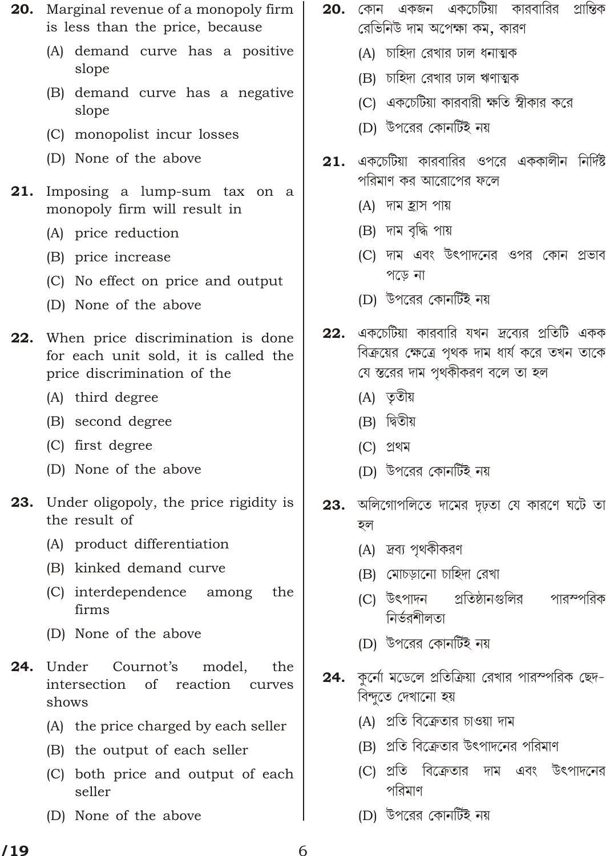- **20.** Marginal revenue of a monopoly firm is less than the price, because
	- (A) demand curve has a positive slope
	- (B) demand curve has a negative slope
	- (C) monopolist incur losses
	- (D) None of the above
- 21. Imposing a lump-sum tax on a monopoly firm will result in
	- (A) price reduction
	- (B) price increase
	- (C) No effect on price and output
	- (D) None of the above
- When price discrimination is done 22. for each unit sold, it is called the price discrimination of the
	- (A) third degree
	- (B) second degree
	- (C) first degree
	- (D) None of the above
- **23.** Under oligopoly, the price rigidity is the result of
	- (A) product differentiation
	- (B) kinked demand curve
	- (C) interdependence among the firms
	- (D) None of the above
- 24. Under Cournot's model. the intersection of reaction curves shows
	- (A) the price charged by each seller
	- (B) the output of each seller
	- (C) both price and output of each seller
	- (D) None of the above
- 20. কোন একজন একচেটিয়া কারবারির প্রান্তিক রেভিনিউ দাম অপেক্ষা কম, কারণ
	- (A) চাহিদা রেখার ঢাল ধনাত্মক
	- (B) চাহিদা রেখার ঢাল ঋণাত্মক
	- (C) একচেটিয়া কারবারী ক্ষতি স্বীকার করে
	- (D) উপরের কোনর্টিই নয়
- $21.$ একচেটিয়া কারবারির ওপরে এককালীন নির্দিষ্ট পরিমাণ কর আরোপের ফলে
	- (A) দাম হ্ৰাস পায়
	- (B) দাম বৃদ্ধি পায়
	- (C) দাম এবং উৎপাদনের ওপর কোন প্রভাব পড়ে না
	- (D) উপরের কোনর্টিই নয়
- একচেটিয়া কারবারি যখন দ্রব্যের প্রতিটি একক  $22.$ বিক্রয়ের ক্ষেত্রে পথক দাম ধার্য করে তখন তাকে যে স্তরের দাম পৃথকীকরণ বলে তা হল
	- (A) তৃতীয়
	- (B) দ্বিতীয়
	- (C) প্ৰথম
	- (D) উপরের কোনর্টিই নয়
- 23. অলিগোপলিতে দামের দৃঢ়তা যে কারণে ঘটে তা হল
	- (A) দ্রব্য পৃথকীকরণ
	- (B) মোচড়ানো চাহিদা রেখা
	- প্রতিষ্ঠানগুলির (C) উৎপাদন পারস্পরিক নিৰ্ভৱশীলতা
	- (D) উপরের কোনর্টিই নয়
- 24. কর্নো মডেলে প্রতিক্রিয়া রেখার পারস্পরিক ছেদ-বিন্দুতে দেখানো হয়
	- (A) প্রতি বিক্রেতার চাওয়া দাম
	- (B) প্রতি বিক্রেতার উৎপাদনের পরিমাণ
	- (C) প্রতি বিক্রেতার দাম এবং উৎপাদনের পবিমাণ
	- (D) উপরের কোনর্টিই নয়

6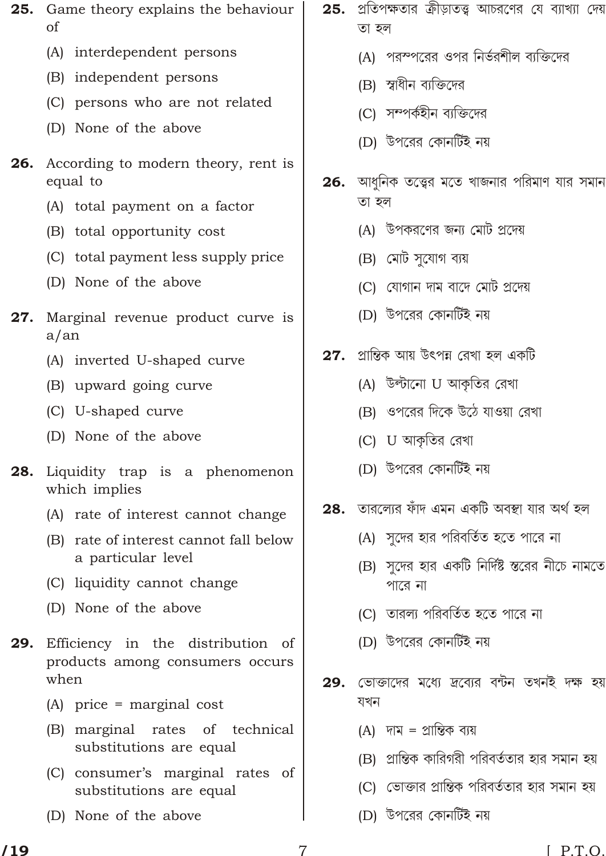- 25. Game theory explains the behaviour  $\alpha$ f
	- (A) interdependent persons
	- (B) independent persons
	- (C) persons who are not related
	- (D) None of the above
- 26. According to modern theory, rent is equal to
	- (A) total payment on a factor
	- (B) total opportunity cost
	- (C) total payment less supply price
	- (D) None of the above
- Marginal revenue product curve is 27.  $a/an$ 
	- (A) inverted U-shaped curve
	- (B) upward going curve
	- (C) U-shaped curve
	- (D) None of the above
- 28. Liquidity trap is a phenomenon which implies
	- (A) rate of interest cannot change
	- (B) rate of interest cannot fall below a particular level
	- (C) liquidity cannot change
	- (D) None of the above
- 29. Efficiency in the distribution of products among consumers occurs when
	- $(A)$  price = marginal cost
	- (B) marginal rates of technical substitutions are equal
	- (C) consumer's marginal rates of substitutions are equal
	- (D) None of the above
- প্রতিপক্ষতার ক্রীড়াতত্ত্ব আচরণের যে ব্যাখ্যা দেয় 25. তা হল
	- (A) পরস্পরের ওপর নির্ভরশীল ব্যক্তিদের
	- (B) স্বাধীন ব্যক্তিদের
	- (C) সম্পৰ্কহীন ব্যক্তিদের
	- (D) উপরের কোনর্টিই নয়
- **26.** আধনিক তত্ত্বের মতে খাজনার পরিমাণ যার সমান তা হল
	- (A) উপকরণের জন্য মোট প্রদেয়
	- (B) মেট সুযোগ ব্যয়
	- (C) যোগান দাম বাদে মোট প্রদেয়
	- (D) উপরের কোনর্টিই নয়
- 27. প্রান্তিক আয় উৎপন্ন রেখা হল একটি
	- (A) উল্টানো U আকৃতির রেখা
	- (B) ওপরের দিকে উঠে যাওয়া রেখা
	- (C) U আকৃতির রেখা
	- (D) উপরের কোনর্টিই নয়
- 28. তারলোর ফাঁদ এমন একটি অবস্থা যার অর্থ হল
	- (A) সদের হার পরিবর্তিত হতে পারে না
	- (B) সদের হার একটি নির্দিষ্ট স্তরের নীচে নামতে পারে না
	- (C) তারল্য পরিবর্তিত হতে পারে না
	- (D) উপরের কোনর্টিই নয়
- ভোক্তাদের মধ্যে দ্রব্যের বন্টন তখনই দক্ষ হয় 29. যখন
	- (A) দাম = প্রান্তিক ব্যয়
	- (B) প্রান্তিক কারিগরী পরিবর্ততার হার সমান হয়
	- (C) ভোক্তার প্রান্তিক পরিবর্ততার হার সমান হয়
	- (D) উপরের কোনর্টিই নয়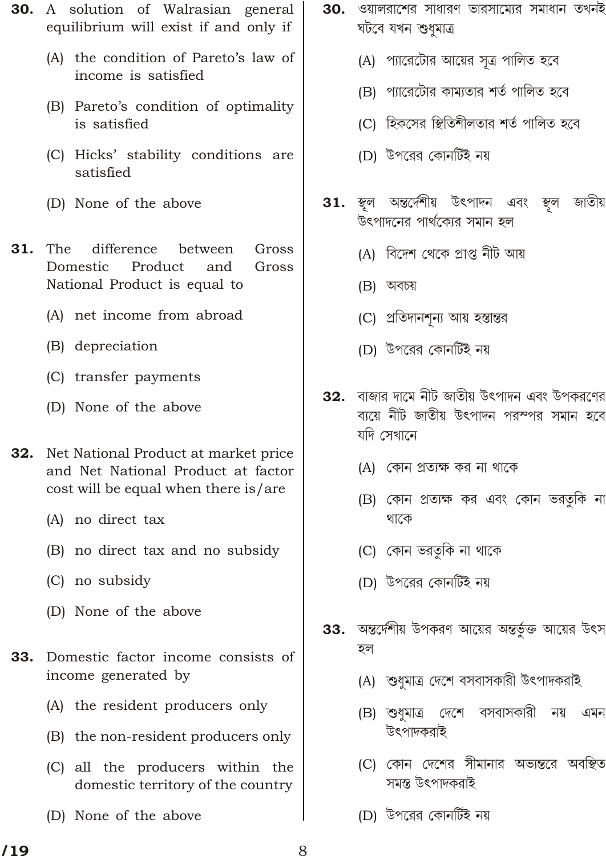- 30. A solution of Walrasian general equilibrium will exist if and only if
	- (A) the condition of Pareto's law of income is satisfied
	- (B) Pareto's condition of optimality is satisfied
	- (C) Hicks' stability conditions are satisfied
	- (D) None of the above
- The 31. difference between Gross Domestic Product and Gross National Product is equal to
	- (A) net income from abroad
	- (B) depreciation
	- (C) transfer payments
	- (D) None of the above
- $32.$ Net National Product at market price and Net National Product at factor cost will be equal when there is/are
	- (A) no direct tax
	- (B) no direct tax and no subsidy
	- (C) no subsidy
	- (D) None of the above
- Domestic factor income consists of 33. income generated by
	- (A) the resident producers only
	- (B) the non-resident producers only
	- (C) all the producers within the domestic territory of the country
	- (D) None of the above
- 30. ওয়ালরাশের সাধারণ ভারসাম্যের সমাধান তখনই ঘটবে যখন শুধমাত্ৰ
	- (A) প্যারেটোর আয়ের সূত্র পালিত হবে
	- (B) প্যারেটোর কাম্যতার শর্ত পালিত হবে
	- (C) হিকসের স্থিতিশীলতার শর্ত পালিত হবে
	- (D) উপরের কোনর্টিই নয়
- স্থল অন্তর্দেশীয় উৎপাদন এবং স্থল জাতীয় 31. উৎপাদনের পার্থক্যের সমান হল
	- (A) বিদেশ থেকে প্ৰাপ্ত নীট আয়
	- $(B)$  অবচয়
	- (C) প্রতিদানশূন্য আয় হস্তান্তর
	- (D) উপরের কোনর্টিই নয়
- বাজার দামে নীট জাতীয় উৎপাদন এবং উপকরণের 32. ব্যয়ে নীট জাতীয় উৎপাদন পরস্পর সমান হবে যদি সেখানে
	- (A) কোন প্রত্যক্ষ কর না থাকে
	- (B) কোন প্রত্যক্ষ কর এবং কোন ভরতুকি না থাকে
	- (C) কোন ভরতকি না থাকে
	- (D) উপরের কোনর্টিই নয়
- 33. অন্তর্দেশীয় উপকরণ আয়ের অন্তর্ভুক্ত আয়ের উৎস হল
	- (A) শুধুমাত্র দেশে বসবাসকারী উৎপাদকরাই
	- (B) শুধমাত্র দেশে বসবাসকারী নয় এমন উৎপাদকরাই
	- (C) কোন দেশের সীমানার অভ্যন্তরে অবস্থিত সমন্ত উৎপাদকরাই
	- (D) উপরের কোনর্টিই নয়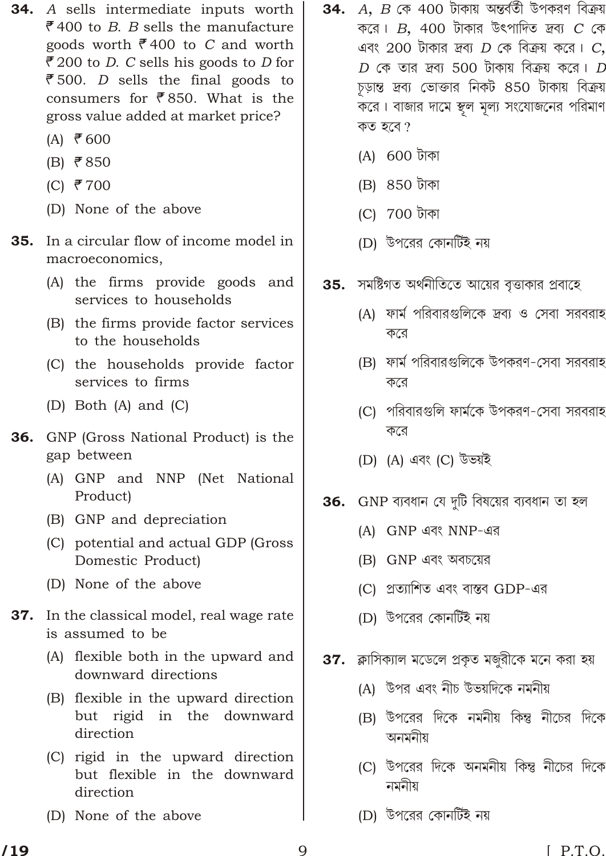- **34.** A sells intermediate inputs worth ₹400 to B. B sells the manufacture goods worth  $\overline{e}$  400 to C and worth ₹200 to *D*. C sells his goods to *D* for ₹500. *D* sells the final goods to consumers for  $\bar{\xi}$ 850. What is the gross value added at market price?
	- $(A)$  ₹ 600
	- $(B)$  ₹850
	- (C) ₹700
	- (D) None of the above
- **35.** In a circular flow of income model in macroeconomics.
	- (A) the firms provide goods and services to households
	- (B) the firms provide factor services to the households
	- (C) the households provide factor services to firms
	- (D) Both (A) and  $(C)$
- **36.** GNP (Gross National Product) is the gap between
	- (A) GNP and NNP (Net National Product)
	- (B) GNP and depreciation
	- (C) potential and actual GDP (Gross Domestic Product)
	- (D) None of the above
- 37. In the classical model, real wage rate is assumed to be
	- (A) flexible both in the upward and downward directions
	- (B) flexible in the upward direction but rigid in the downward direction
	- (C) rigid in the upward direction but flexible in the downward direction
	- (D) None of the above
- $A,~B$  কে 400 টাকায় অন্তৰ্বতী উপকরণ বিক্রয় 34. করে।  $B$ , 400 টাকার উৎপাদিত দ্রব্য  $C$  কে এবং 200 টাকার দ্রব্য  $D$  কে বিক্রয় করে।  $C$ ,  $D$  কে তার দ্রব্য 500 টাকায় বিক্রয় করে।  $D$ চূড়ান্ত দ্রব্য ভোক্তার নিকট ৪50 টাকায় বিক্রয় করে। বাজার দামে স্থল মূল্য সংযোজনের পরিমাণ কত হবে?
	- (A) 600 টাকা
	- (B) 850 টাকা
	- (C) 700 টাকা
	- (D) উপরের কোনর্টিই নয়
- **35.** সমষ্টিগত অর্থনীতিতে আয়ের বৃত্তাকার প্রবাহে
	- (A) ফার্ম পরিবারগুলিকে দ্রব্য ও সেবা সরবরাহ করে
	- (B) ফার্ম পরিবারগুলিকে উপকরণ-সেবা সরবরাহ করে
	- (C) পরিবারগুলি ফার্মকে উপকরণ-সেবা সরবরাহ করে
	- (D) (A) এবং (C) উভয়ই
- **36.** GNP ব্যবধান যে দুটি বিষয়ের ব্যবধান তা হল
	- (A) GNP এবং NNP-এর
	- (B) GNP এবং অবচয়ের
	- (C) প্রত্যাশিত এবং বাস্তব GDP-এর
	- (D) উপরের কোনর্টিই নয়
- 37. ক্লাসিক্যাল মডেলে প্রকৃত মজুরীকে মনে করা হয়
	- (A) উপর এবং নীচ উভয়দিকে নমনীয়
	- (B) উপরের দিকে নমনীয় কিন্তু নীচের দিকে অনমনীয়
	- (C) উপরের দিকে অনমনীয় কিন্তু নীচের দিকে নমনীয়
	- (D) উপরের কোনর্টিই নয়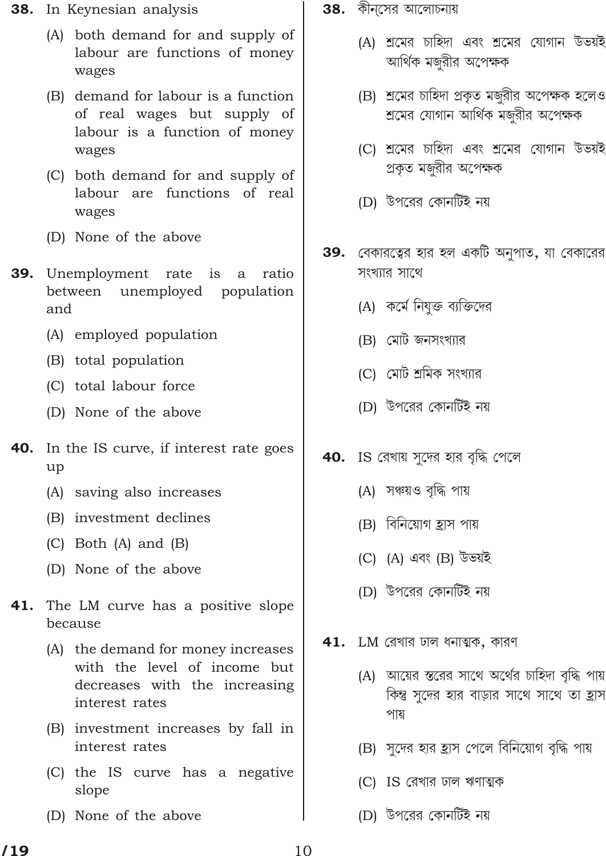- **38.** In Keynesian analysis
	- (A) both demand for and supply of labour are functions of money wages
	- (B) demand for labour is a function of real wages but supply of labour is a function of money wages
	- (C) both demand for and supply of labour are functions of real wages
	- (D) None of the above
- **39.** Unemployment rate is a ratio between unemployed population and
	- (A) employed population
	- (B) total population
	- (C) total labour force
	- (D) None of the above
- 40. In the IS curve, if interest rate goes up
	- (A) saving also increases
	- (B) investment declines
	- $(C)$  Both  $(A)$  and  $(B)$
	- (D) None of the above
- 41. The LM curve has a positive slope because
	- (A) the demand for money increases with the level of income but decreases with the increasing interest rates
	- (B) investment increases by fall in interest rates
	- (C) the IS curve has a negative slope
	- (D) None of the above
- $\bf{38.}$  কীন্সের আলোচনায়
	- (A) শ্রমের চাহিদা এবং শ্রমের যোগান উভয়ই আর্থিক মজরীর অপেক্ষক
	- (B) শ্রমের চাহিদা প্রকৃত মজুরীর অপেক্ষক হলেও শ্রমের যোগান আর্থিক মজুরীর অপেক্ষক
	- (C) শ্রমের চাহিদা এবং শ্রমের যোগান উভয়ই প্রকৃত মজুরীর অপেক্ষক
	- (D) উপরের কোনর্টিই নয়
- 39. বেকারত্বের হার হল একটি অনুপাত, যা বেকারের সংখ্যার সাথে
	- (A) কর্মে নিযুক্ত ব্যক্তিদের
	- (B) মোট জনসংখ্যার
	- (C) মোট শ্রমিক সংখ্যার
	- (D) উপরের কোনর্টিই নয়
- $40.$  IS রেখায় সুদের হার বৃদ্ধি পেলে
	- (A) সঞ্চয়ও বৃদ্ধি পায়
	- (B) বিনিয়োগ হ্রাস পায়
	- (C) (A) এবং (B) উভয়ই
	- (D) উপরের কোনর্টিই নয়
- 41. LM রেখার ঢাল ধনাত্মক, কারণ
	- (A) আয়ের স্তরের সাথে অর্থের চাহিদা বৃদ্ধি পায় কিন্তু সুদের হার বাড়ার সাথে সাথে তা হ্রাস পায়
	- (B) সুদের হার হ্রাস পেলে বিনিয়োগ বৃদ্ধি পায়
	- (C) IS রেখার ঢাল ঋণাত্মক
	- (D) উপরের কোনর্টিই নয়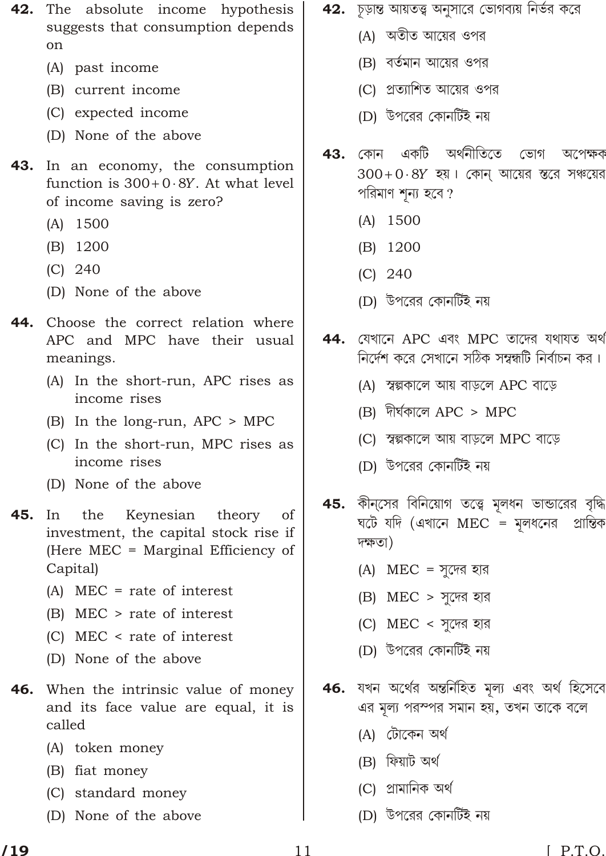- 42. The absolute income hypothesis suggests that consumption depends on
	- (A) past income
	- (B) current income
	- (C) expected income
	- (D) None of the above
- **43.** In an economy, the consumption function is 300 0 8Y. At what level of income saving is zero?
	- $(A)$  1500
	- $(B)$  1200
	- $(C)$  240
	- (D) None of the above
- Choose the correct relation where 44. APC and MPC have their usual meanings.
	- (A) In the short-run, APC rises as income rises
	- (B) In the long-run, APC > MPC
	- (C) In the short-run, MPC rises as income rises
	- (D) None of the above
- 45. In the Keynesian theory of investment, the capital stock rise if (Here MEC = Marginal Efficiency of Capital)
	- $(A)$  MEC = rate of interest
	- $(B)$  MEC  $>$  rate of interest
	- $(C)$  MEC < rate of interest
	- (D) None of the above
- 46. When the intrinsic value of money and its face value are equal, it is called
	- (A) token money
	- (B) fiat money
	- (C) standard money
	- (D) None of the above
- 42. চূড়ান্ত আয়তত্ত্ব অনুসারে ভোগব্যয় নির্ভর করে
	- (A) অতীত আয়ের ওপর
	- (B) বর্তমান আয়ের ওপর
	- (C) প্রত্যাশিত আয়ের ওপর
	- (D) উপরের কোনর্টিই নয়
- অৰ্থনীতিতে একটি 43. কোন ভোগ অপেক্ষক  $300$  0  $8Y$  হয়  $\mid$  কোন আয়ের স্তরে সঞ্চয়ের পরিমাণ শন্য হবে ?
	- $(A)$  1500
	- (B) 1200
	- $(C)$  240
	- (D) উপরের কোনর্টিই নয়
- যেখানে APC এবং MPC তাদের যথাযত অথ 44. নির্দেশ করে সেখানে সঠিক সম্বন্ধটি নির্বাচন কর।
	- (A) স্বল্পকালে আয় বাড়লে APC বাড়ে
	- $(B)$  দীৰ্ঘকালে APC > MPC
	- (C) স্বল্পকালে আয় বাড়লে MPC বাড়ে
	- (D) উপরের কোনটিই নয়
- 45. কীনসের বিনিয়োগ তত্ত্বে মলধন ভান্ডারের বৃদ্ধি ঘটে যদি (এখানে MEC = মূলধনের প্রান্তিক দক্ষতা)
	- (A) MEC = সুদের হার
	- $(B)$  MEC > সুদের হার
	- (C) MEC < সুদের হার
	- (D) উপরের কোনর্টিই নয়
- 46. যখন অৰ্থের অন্তৰ্নিহিত মূল্য এবং অৰ্থ হিসেবে এর মূল্য পরস্পর সমান হয়, তখন তাকে বলে
	- (A) টোকেন অর্থ
	- (B) ফিয়াট অৰ্থ
	- (C) প্ৰামানিক অৰ্থ
	- (D) উপরের কোনর্টিই নয়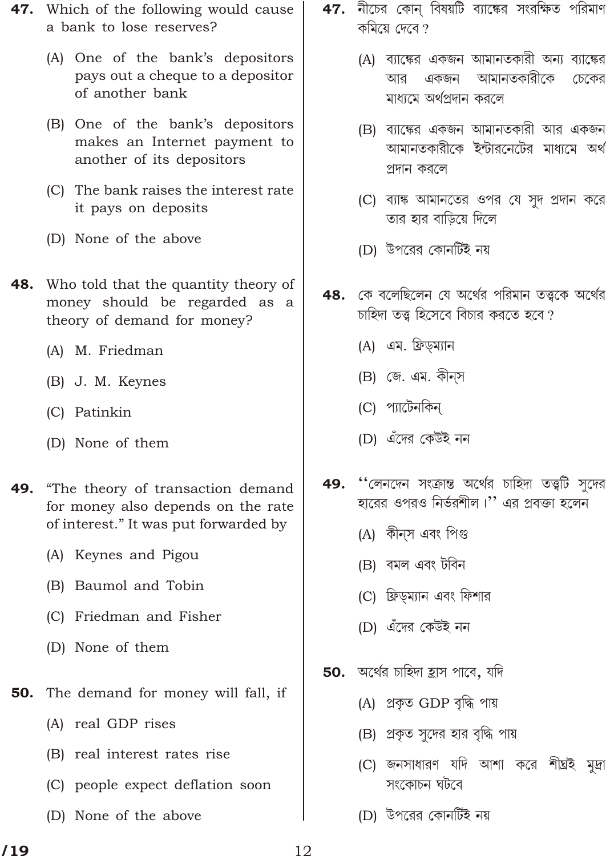- **47.** Which of the following would cause a bank to lose reserves?
	- (A) One of the bank's depositors pays out a cheque to a depositor of another bank
	- (B) One of the bank's depositors makes an Internet payment to another of its depositors
	- (C) The bank raises the interest rate it pays on deposits
	- (D) None of the above
- **48.** Who told that the quantity theory of money should be regarded as a theory of demand for money?
	- (A) M. Friedman
	- (B) J. M. Keynes
	- (C) Patinkin
	- (D) None of them
- "The theory of transaction demand 49. for money also depends on the rate of interest." It was put forwarded by
	- (A) Keynes and Pigou
	- (B) Baumol and Tobin
	- (C) Friedman and Fisher
	- (D) None of them
- The demand for money will fall, if 50.
	- (A) real GDP rises
	- (B) real interest rates rise
	- (C) people expect deflation soon
	- (D) None of the above
- $\bf 47.$  নীচের কোন বিষয়টি ব্যাঙ্কের সংরক্ষিত পরিমাণ কমিয়ে দেবে ?
	- (A) ব্যাঙ্কের একজন আমানতকারী অন্য ব্যাঙ্কের একজন আমানতকারীকে আর চেকের মাধ্যমে অৰ্থপ্ৰদান করলে
	- (B) ব্যাঙ্কের একজন আমানতকারী আর একজন আমানতকারীকে ইন্টারনেটের মাধ্যমে অথ প্রদান করলে
	- (C) ব্যাঙ্ক আমানতের ওপর যে সুদ প্রদান করে তার হার বাড়িয়ে দিলে
	- (D) উপরের কোনর্টিই নয়
- 48. কে বলেছিলেন যে অৰ্থের পরিমান তত্ত্বকে অর্থের চাহিদা তত্ত্ব হিসেবে বিচার করতে হবে?
	- (A) এম. ফ্রিড়ম্যান
	- (B) জে. এম. কীন্স
	- (C) প্যাটেনকিন্
	- (D) এঁদের কেউই নন
- "লেনদেন সংক্রান্ত অর্থের চাহিদা তত্ত্বটি সদের 49. হারের ওপরও নির্ভরশীল।'' এর প্রবক্তা হলেন
	- (A) কীন্স এবং পিগু
	- (B) বমল এবং টবিন
	- (C) ফ্রিড়ম্যান এবং ফিশার
	- (D) এঁদের কেউই নন
- 50. অর্থের চাহিদা হ্রাস পাবে, যদি
	- (A) প্ৰকৃত GDP বৃদ্ধি পায়
	- (B) প্রকৃত সুদের হার বৃদ্ধি পায়
	- (C) জনসাধারণ যদি আশা করে শীঘ্রই মুদ্রা সংকোচন ঘটবে
	- (D) উপরের কোনর্টিই নয়

12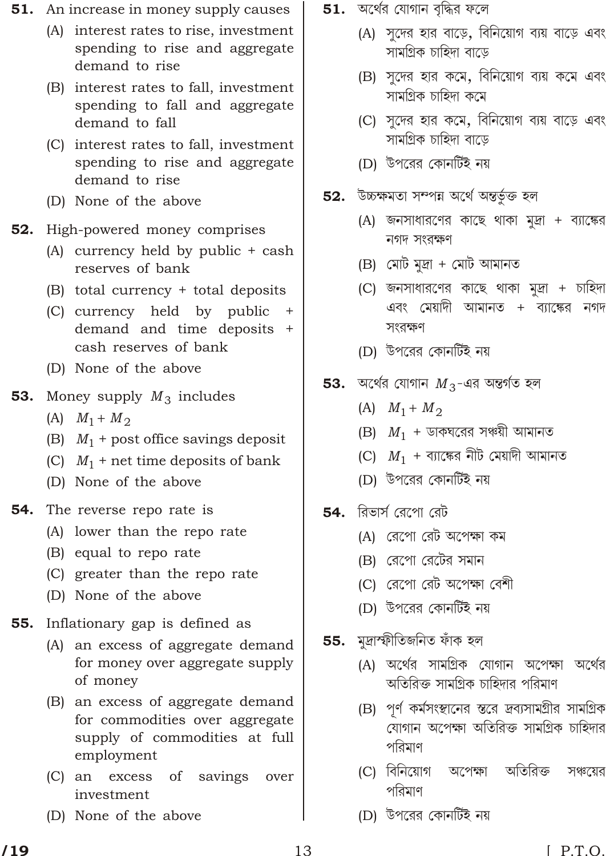- **51.** An increase in money supply causes
	- (A) interest rates to rise, investment spending to rise and aggregate demand to rise
	- (B) interest rates to fall, investment spending to fall and aggregate demand to fall
	- (C) interest rates to fall, investment spending to rise and aggregate demand to rise
	- (D) None of the above
- 52. High-powered money comprises
	- (A) currency held by public + cash reserves of bank
	- (B) total currency + total deposits
	- (C) currency held by public + demand and time deposits + cash reserves of bank
	- (D) None of the above
- **53.** Money supply  $M_3$  includes
	- (A)  $M_1$   $M_2$
	- (B)  $M_1$  + post office savings deposit
	- (C)  $M_1$  + net time deposits of bank
	- (D) None of the above
- 54. The reverse repo rate is
	- (A) lower than the repo rate
	- (B) equal to repo rate
	- (C) greater than the repo rate
	- (D) None of the above
- 55. Inflationary gap is defined as
	- (A) an excess of aggregate demand for money over aggregate supply of money
	- (B) an excess of aggregate demand for commodities over aggregate supply of commodities at full employment
	- $(C)$  an excess of savings over investment
	- (D) None of the above
- $\bf 51.$  অর্থের যোগান বৃদ্ধির ফলে
	- (A) সুদের হার বাড়ে, বিনিয়োগ ব্যয় বাড়ে এবং সামগ্ৰিক চাহিদা বাডে
	- (B) সুদের হার কমে, বিনিয়োগ ব্যয় কমে এবং সামগ্ৰিক চাহিদা কমে
	- (C) সুদের হার কমে, বিনিয়োগ ব্যয় বাড়ে এবং সামগ্ৰিক চাহিদা বাড়ে
	- (D) উপরের কোনর্টিই নয়
- উচ্চক্ষমতা সম্পন্ন অৰ্থে অন্তৰ্ভক্ত হল  $52.$ 
	- (A) জনসাধারণের কাছে থাকা মুদ্রা + ব্যাঙ্কের নগদ সংরক্ষণ
	- $(B)$  মোট মদ্ৰা + মোট আমানত
	- (C) জনসাধারণের কাছে থাকা মুদ্রা + চাহিদা এবং মেয়াদী আমানত + ব্যাঙ্কের নগদ সংরক্ষণ
	- (D) উপরের কোনর্টিই নয়
- 53. অর্থের যোগান  $M_3$ -এর অন্তর্গত হল
	- (A)  $M_1$   $M_2$
	- (B)  $M_1$  + ডাকঘরের সঞ্চয়ী আমানত
	- (C)  $M_1$  + ব্যাঙ্কের নীট মেয়াদী আমানত
	- (D) উপরের কোনর্টিই নয়
- $54.$  রিভার্স রেপো রেট
	- (A) রেপো রেট অপেক্ষা কম
	- (B) রেপো রেটের সমান
	- (C) রেপো রেট অপেক্ষা বেশী
	- (D) উপরের কোনর্টিই নয়
- 55. মুদ্ৰাস্ফীতিজনিত ফাঁক হল
	- (A) অর্থের সামগ্রিক যোগান অপেক্ষা অর্থের অতিরিক্ত সামগ্রিক চাহিদার পরিমাণ
	- (B) পূর্ণ কর্মসংস্থানের স্তরে দ্রব্যসামগ্রীর সামগ্রিক যোগান অপেক্ষা অতিরিক্ত সামগ্রিক চাহিদার পরিমাণ
	- (C) বিনিয়োগ অপেক্ষা অতিরিক্ত সঞ্চয়ের পরিমাণ
	- (D) উপরের কোনর্টিই নয়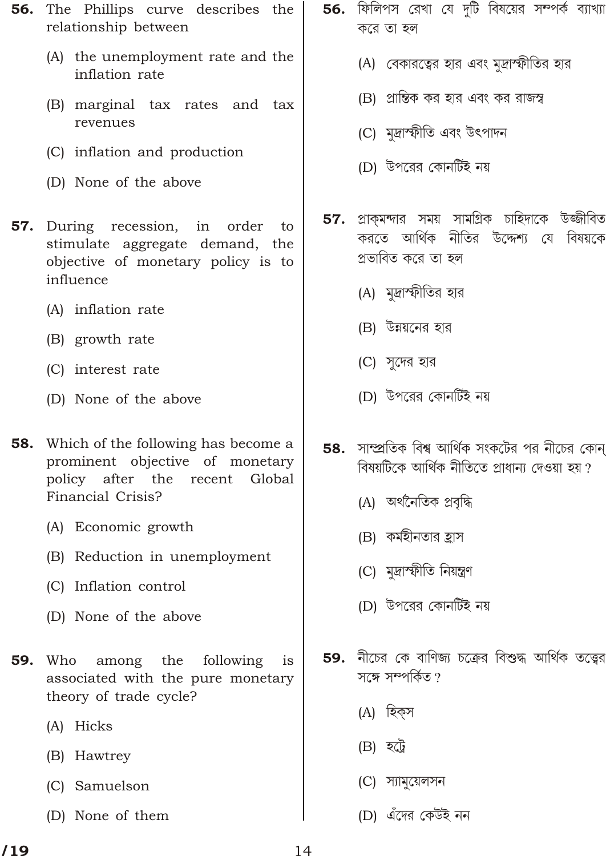- **56.** The Phillips curve describes the relationship between
	- (A) the unemployment rate and the inflation rate
	- (B) marginal tax rates and tax revenues
	- (C) inflation and production
	- (D) None of the above
- **57.** During recession, in order to stimulate aggregate demand, the objective of monetary policy is to influence
	- (A) inflation rate
	- (B) growth rate
	- (C) interest rate
	- (D) None of the above
- Which of the following has become a 58. prominent objective of monetary policy after the recent Global Financial Crisis?
	- (A) Economic growth
	- (B) Reduction in unemployment
	- (C) Inflation control
	- (D) None of the above
- among the following 59. Who is associated with the pure monetary theory of trade cycle?
	- (A) Hicks
	- (B) Hawtrey
	- (C) Samuelson
	- (D) None of them
- **56.** ফিলিপস রেখা যে দুটি বিষয়ের সম্পর্ক ব্যাখ্যা করে তা হল
	- (A) বেকারত্বের হার এবং মদ্রাস্ফীতির হার
	- (B) প্রান্তিক কর হার এবং কর রাজস্ব
	- (C) মদ্রাস্ফীতি এবং উৎপাদন
	- (D) উপরের কোনর্টিই নয়
- প্রাকমন্দার সময় সামগ্রিক চাহিদাকে উজ্জীবিত 57. করতে আর্থিক নীতির উদ্দেশ্য যে বিষয়কে প্ৰভাবিত করে তা হল
	- (A) মদ্রাস্ফীতির হার
	- (B) উন্নয়নের হার
	- (C) সুদের হার
	- (D) উপরের কোনর্টিই নয়
- সাম্প্রতিক বিশ্ব আর্থিক সংকটের পর নীচের কোন্ 58. বিষয়টিকে আর্থিক নীতিতে প্রাধান্য দেওয়া হয় ?
	- (A) অর্থনৈতিক প্রবৃদ্ধি
	- (B) কর্মহীনতার হ্রাস
	- (C) মদ্রাস্ফীতি নিয়ন্ত্রণ
	- (D) উপরের কোনর্টিই নয়
- 59. নীচের কে বাণিজ্য চক্রের বিশুদ্ধ আর্থিক তত্ত্বের সঙ্গে সম্পৰ্কিত ?
	- (A) হিকস
	- $(B)$  হট্রে
	- (C) স্যামুয়েলসন
	- (D) এঁদের কেউই নন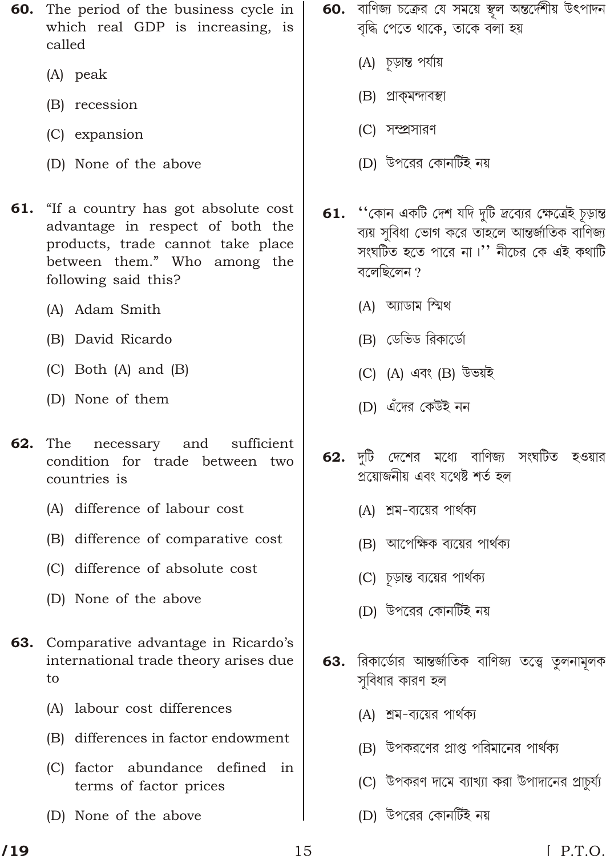- 60. The period of the business cycle in which real GDP is increasing, is called
	- $(A)$  peak
	- (B) recession
	- (C) expansion
	- (D) None of the above
- 61. "If a country has got absolute cost" advantage in respect of both the products, trade cannot take place between them." Who among the following said this?
	- (A) Adam Smith
	- (B) David Ricardo
	- $(C)$  Both  $(A)$  and  $(B)$
	- (D) None of them
- 62. The necessary and sufficient condition for trade between two countries is
	- (A) difference of labour cost
	- (B) difference of comparative cost
	- (C) difference of absolute cost
	- (D) None of the above
- **63.** Comparative advantage in Ricardo's international trade theory arises due to
	- (A) labour cost differences
	- (B) differences in factor endowment
	- (C) factor abundance defined in terms of factor prices
	- (D) None of the above
- 60. বাণিজ্য চক্রের যে সময়ে স্থূল অন্তর্দেশীয় উৎপাদন বৃদ্ধি পেতে থাকে, তাকে বলা হয়
	- (A) চূড়ান্ত পর্যায়
	- (B) প্ৰাক্মন্দাবস্থা
	- (C) সম্প্রসারণ
	- (D) উপরের কোনর্টিই নয়
- 61. "কোন একটি দেশ যদি দুটি দ্রব্যের ক্ষেত্রেই চূড়ান্ত ব্যয় সুবিধা ভোগ করে তাহলে আন্তর্জাতিক বাণিজ্য সংঘটিত হতে পারে না।'' নীচের কে এই কথাটি বলেছিলেন ?
	- (A) আডাম স্মিথ
	- (B) ডেভিড রিকার্ডো
	- (C) (A) এবং (B) উভয়ই
	- (D) এঁদের কেউই নন
- 62. দটি দেশের মধ্যে বাণিজ্য সংঘটিত হওয়ার প্ৰয়োজনীয় এবং যথেষ্ট শৰ্ত হল
	- (A) শ্রম-ব্যয়ের পার্থক্য
	- (B) আপেক্ষিক ব্যয়ের পার্থক্য
	- (C) চূড়ান্ত ব্যয়ের পার্থক্য
	- (D) উপরের কোনর্টিই নয়
- 63. রিকার্ডোর আন্তর্জাতিক বাণিজ্য তত্ত্বে তুলনামূলক সবিধার কারণ হল
	- (A) শ্রম-ব্যয়ের পার্থক্য
	- (B) উপকরণের প্রাপ্ত পরিমানের পার্থক্য
	- (C) উপকরণ দামে ব্যাখ্যা করা উপাদানের প্রাচর্য্য
	- (D) উপরের কোনর্টিই নয়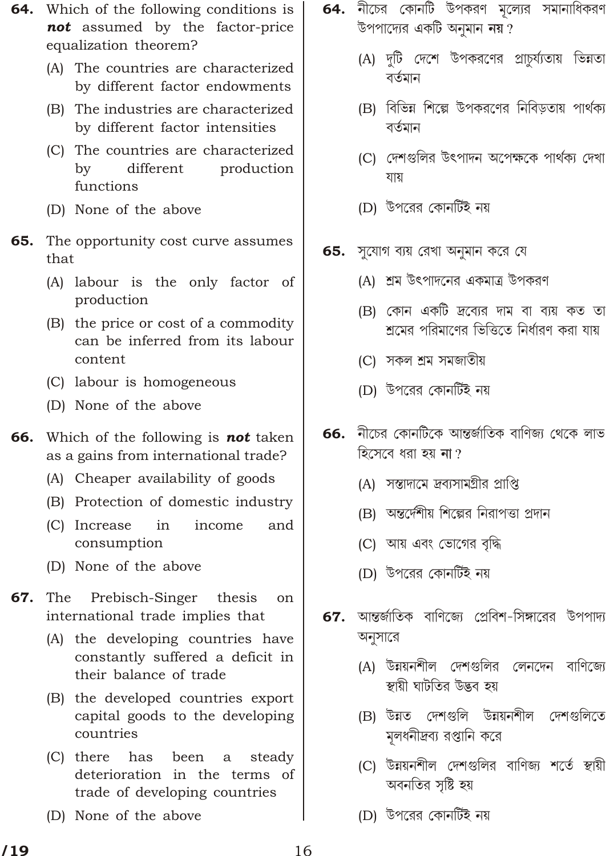- **64.** Which of the following conditions is not assumed by the factor-price equalization theorem?
	- (A) The countries are characterized by different factor endowments
	- (B) The industries are characterized by different factor intensities
	- (C) The countries are characterized different  $\mathbf{b}$ production functions
	- (D) None of the above
- 65. The opportunity cost curve assumes that
	- (A) labour is the only factor of production
	- (B) the price or cost of a commodity can be inferred from its labour content
	- (C) labour is homogeneous
	- (D) None of the above
- 66. Which of the following is not taken as a gains from international trade?
	- (A) Cheaper availability of goods
	- (B) Protection of domestic industry
	- (C) Increase in income and consumption
	- (D) None of the above
- 67. The Prebisch-Singer thesis on international trade implies that
	- (A) the developing countries have constantly suffered a deficit in their balance of trade
	- (B) the developed countries export capital goods to the developing countries
	- $(C)$  there steady has been a deterioration in the terms of trade of developing countries
	- (D) None of the above
- $64.$  নীচের কোনটি উপকরণ মূল্যের সমানাধিকরণ উপপাদ্যের একটি অনুমান নয়?
	- (A) দুটি দেশে উপকরণের প্রাচুর্য্যতায় ভিন্নতা বৰ্তমান
	- (B) বিভিন্ন শিল্পে উপকরণের নিবিড়তায় পার্থক্য বৰ্তমান
	- (C) দেশগুলির উৎপাদন অপেক্ষকে পার্থক্য দেখা যায়
	- (D) উপরের কোনর্টিই নয়
- 65. সুযোগ ব্যয় রেখা অনুমান করে যে
	- (A) শ্রম উৎপাদনের একমাত্র উপকরণ
	- (B) কোন একটি *দ্রব্যে*র দাম বা ব্যয় কত তা শ্রমের পরিমাণের ভিত্তিতে নির্ধারণ করা যায়
	- (C) সকল শ্ৰম সমজাতীয়
	- (D) উপরের কোনর্টিই নয়
- 66. নীচের কোনটিকে আন্তর্জাতিক বাণিজ্য থেকে লাভ হিসেবে ধরা হয় **না** ?
	- (A) সন্তাদামে দ্রব্যসামগ্রীর প্রাপ্তি
	- (B) অন্তর্দেশীয় শিল্পের নিরাপত্তা প্রদান
	- (C) আয় এবং ভোগের বৃদ্ধি
	- (D) উপরের কোনর্টিই নয়
- আন্তর্জাতিক বাণিজ্যে প্রেবিশ-সিঙ্গারের উপপাদ্য 67. অনুসারে
	- (A) উন্নয়নশীল দেশগুলির লেনদেন বাণিজ্যে স্থায়ী ঘাটতির উদ্ভব হয়
	- (B) উন্নত দেশগুলি উন্নয়নশীল দেশগুলিতে মুলধনীদ্রব্য রপ্তানি করে
	- (C) উন্নয়নশীল দেশগুলির বাণিজ্য শর্তে স্থায়ী অবনতির সৃষ্টি হয়
	- (D) উপরের কোনর্টিই নয়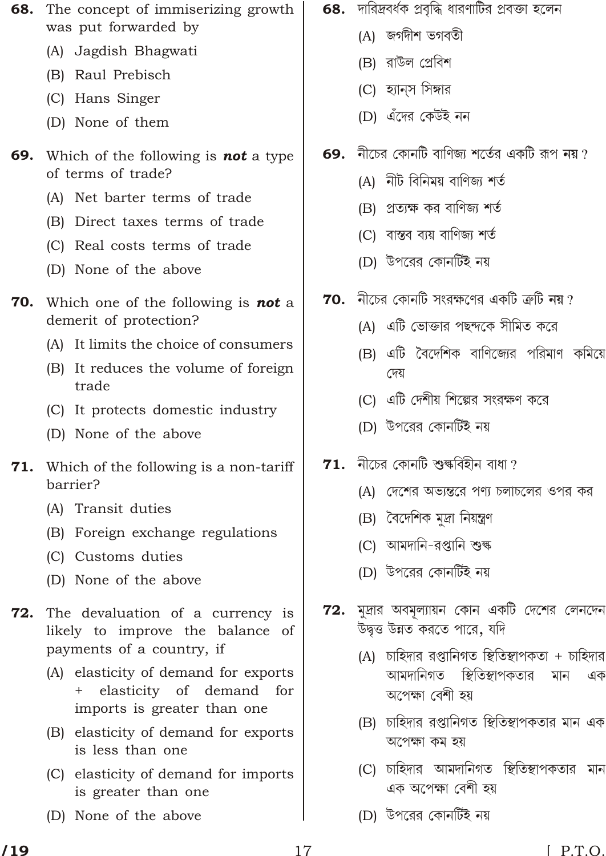- The concept of immiserizing growth 68. was put forwarded by
	- (A) Jagdish Bhagwati
	- (B) Raul Prebisch
	- (C) Hans Singer
	- (D) None of them
- Which of the following is **not** a type 69. of terms of trade?
	- (A) Net barter terms of trade
	- (B) Direct taxes terms of trade
	- (C) Real costs terms of trade
	- (D) None of the above
- **70.** Which one of the following is **not** a demerit of protection?
	- (A) It limits the choice of consumers
	- (B) It reduces the volume of foreign trade
	- (C) It protects domestic industry
	- (D) None of the above
- 71. Which of the following is a non-tariff barrier?
	- (A) Transit duties
	- (B) Foreign exchange regulations
	- (C) Customs duties
	- (D) None of the above
- 72. The devaluation of a currency is likely to improve the balance of payments of a country, if
	- (A) elasticity of demand for exports elasticity of demand for  $+$ imports is greater than one
	- (B) elasticity of demand for exports is less than one
	- (C) elasticity of demand for imports is greater than one
	- (D) None of the above
- 68. দারিদ্রবর্ধক প্রবৃদ্ধি ধারণাটির প্রবক্তা হলেন
	- (A) জগদীশ ভগবতী
	- (B) রাউল প্রেবিশ
	- (C) হ্যানস সিঙ্গার
	- (D) এঁদের কেউই নন
- নীচের কোনটি বাণিজ্য শর্তের একটি রূপ **নয়** ? 69.
	- $(A)$  নীট বিনিময় বাণিজ্য শর্ত
	- (B) প্রত্যক্ষ কর বাণিজ্য শর্ত
	- (C) বাস্তব ব্যয় বাণিজ্য শর্ত
	- (D) উপরের কোনর্টিই নয়
- **70.** নীচের কোনটি সংরক্ষণের একটি ক্রটি **নয়** ?
	- (A) এটি ভোক্তার পছন্দকে সীমিত করে
	- (B) এটি বৈদেশিক বাণিজ্যের পরিমাণ কমিয়ে দেয়
	- (C) এটি দেশীয় শিল্পের সংরক্ষণ করে
	- (D) উপরের কোনর্টিই নয়
- $71.$  নীচের কোনটি শুক্ষবিহীন বাধা ?
	- (A) দেশের অভ্যন্তরে পণ্য চলাচলের ওপর কর
	- (B) বৈদেশিক মুদ্ৰা নিয়ন্ত্ৰণ
	- (C) আমদানি-রপ্তানি শুল্ক
	- (D) উপরের কোনর্টিই নয়
- ${\bf 72.}$  মুদ্রার অবমুল্যায়ন কোন একটি দেশের লেনদেন উদ্বত্ত উন্নত করতে পারে, যদি
	- $(A)$  চাহিদার রপ্তানিগত স্থিতিস্থাপকতা + চাহিদার আমদানিগত স্থিতিস্থাপকতার মান এক অপেক্ষা বেশী হয়
	- (B) চাহিদার রপ্তানিগত স্থিতিস্থাপকতার মান এক অপেক্ষা কম হয়
	- (C) চাহিদার আমদানিগত স্থিতিস্থাপকতার মান এক অপেক্ষা বেশী হয়
	- (D) উপরের কোনর্টিই নয়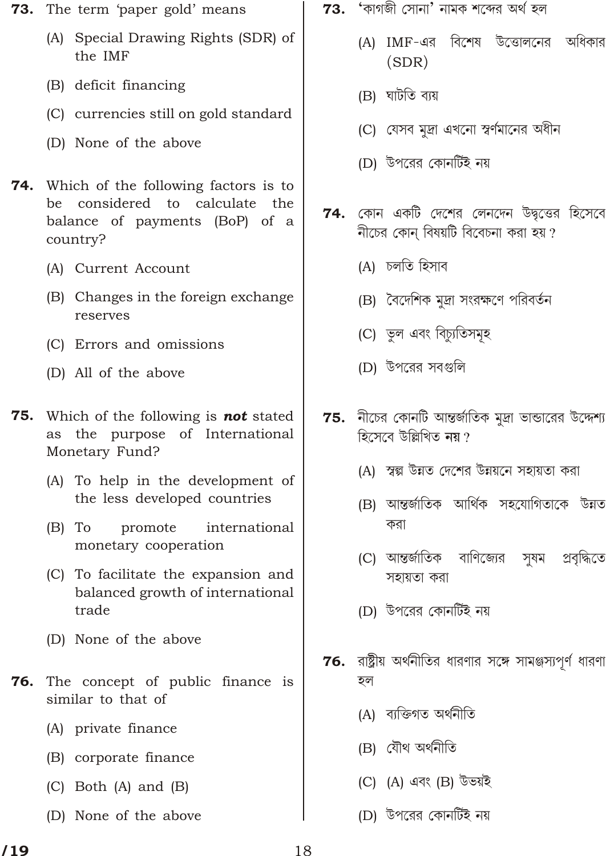- **73.** The term 'paper gold' means
	- (A) Special Drawing Rights (SDR) of the IMF
	- (B) deficit financing
	- (C) currencies still on gold standard
	- (D) None of the above
- **74.** Which of the following factors is to be considered to calculate the balance of payments (BoP) of a country?
	- (A) Current Account
	- (B) Changes in the foreign exchange reserves
	- (C) Errors and omissions
	- (D) All of the above
- Which of the following is **not** stated 75. as the purpose of International Monetary Fund?
	- (A) To help in the development of the less developed countries
	- $(B)$  To promote international monetary cooperation
	- (C) To facilitate the expansion and balanced growth of international trade
	- (D) None of the above
- The concept of public finance is 76. similar to that of
	- (A) private finance
	- (B) corporate finance
	- $(C)$  Both  $(A)$  and  $(B)$
	- (D) None of the above
- 'কাগজী সোনা' নামক শব্দের অর্থ হল 73.
	- অধিকার (A) IMF-এর বিশেষ উত্তোলনের  $(SDR)$
	- (B) ঘাটতি ব্যয়
	- (C) যেসব মূদ্রা এখনো স্বর্ণমানের অধীন
	- (D) উপরের কোনর্টিই নয়
- $74.$  কোন একটি দেশের লেনদেন উদ্বত্তের হিসেবে নীচের কোন বিষয়টি বিবেচনা করা হয়?
	- (A) চলতি হিসাব
	- (B) বৈদেশিক মুদ্রা সংরক্ষণে পরিবর্তন
	- (C) ভুল এবং বিচ্যুতিসমূহ
	- (D) উপরের সবগুলি
- $75.$  নীচের কোনটি আন্তর্জাতিক মুদ্রা ভান্ডারের উদ্দেশ্য হিসেবে উল্লিখিত নয়?
	- (A) স্বল্প উন্নত দেশের উন্নয়নে সহায়তা করা
	- (B) আন্তৰ্জাতিক আৰ্থিক সহযোগিতাকে উন্নত করা
	- (C) আন্তর্জাতিক বাণিজ্যের প্ৰবৃদ্ধিতে সুষম সহায়তা করা
	- (D) উপরের কোনর্টিই নয়
- **76.** রাষ্ট্রীয় অর্থনীতির ধারণার সঙ্গে সামঞ্জস্যপূর্ণ ধারণা হল
	- (A) ব্যক্তিগত অৰ্থনীতি
	- (B) যৌথ অৰ্থনীতি
	- (C) (A) এবং (B) উভয়ই
	- (D) উপরের কোনর্টিই নয়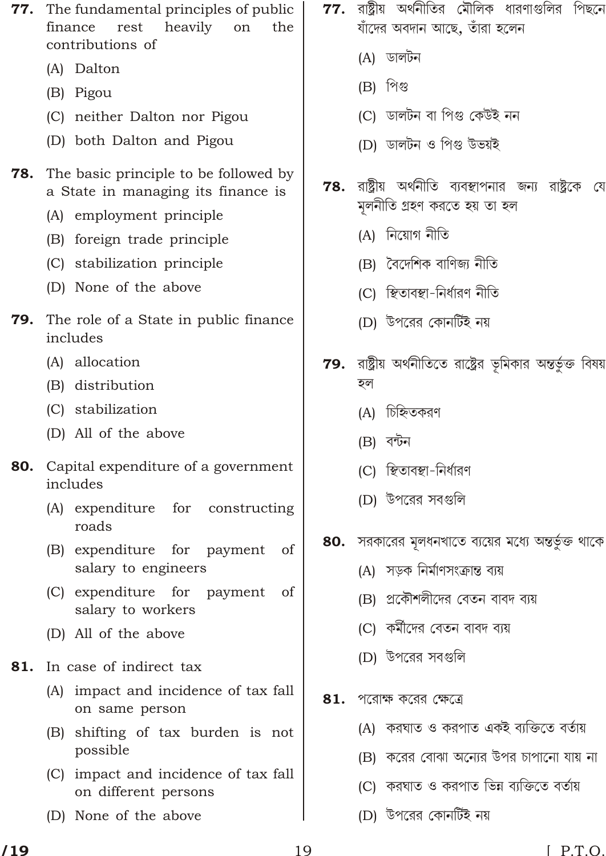- 77. The fundamental principles of public finance rest heavily on the contributions of
	- (A) Dalton
	- (B) Pigou
	- (C) neither Dalton nor Pigou
	- (D) both Dalton and Pigou
- 78. The basic principle to be followed by a State in managing its finance is
	- (A) employment principle
	- (B) foreign trade principle
	- (C) stabilization principle
	- (D) None of the above
- 79. The role of a State in public finance includes
	- (A) allocation
	- (B) distribution
	- (C) stabilization
	- (D) All of the above
- Capital expenditure of a government 80. includes
	- (A) expenditure for constructing roads
	- of (B) expenditure for payment salary to engineers
	- (C) expenditure for payment of salary to workers
	- (D) All of the above
- In case of indirect tax 81.
	- (A) impact and incidence of tax fall on same person
	- (B) shifting of tax burden is not possible
	- (C) impact and incidence of tax fall on different persons
	- (D) None of the above
- $77.$  রাষ্ট্রীয় অর্থনীতির মৌলিক ধারণাগুলির পিছনে যাঁদের অবদান আছে, তাঁরা হলেন
	- (A) ডালটন
	- $(B)$  পিগু
	- (C) ডালটন বা পিগু কেউই নন
	- (D) ডালটন ও পিগু উভয়ই
- রাষ্ট্রীয় অর্থনীতি ব্যবস্থাপনার জন্য রাষ্ট্রকে যে 78. মুলনীতি গ্ৰহণ করতে হয় তা হল
	- (A) নিয়োগ নীতি
	- (B) বৈদেশিক বাণিজ্য নীতি
	- (C) স্থিতাবস্থা-নিৰ্ধারণ নীতি
	- (D) উপরের কোনর্টিই নয়
- **79.** রাষ্ট্রীয় অর্থনীতিতে রাষ্ট্রের ভূমিকার অন্তর্ভুক্ত বিষয় হল
	- (A) চিহ্নিতকরণ
	- $(B)$  বন্টন
	- (C) স্থিতাবম্বা-নিৰ্ধারণ
	- (D) উপরের সবগুলি
- 80. সরকারের মূলধনখাতে ব্যয়ের মধ্যে অন্তর্ভুক্ত থাকে
	- (A) সডক নির্মাণসংক্রান্ত ব্যয়
	- (B) প্রকৌশলীদের বেতন বাবদ ব্যয়
	- (C) কর্মীদের বেতন বাবদ ব্যয়
	- (D) উপরের সবগুলি
- 81. পরোক্ষ করের ক্ষেত্রে
	- (A) করঘাত ও করপাত একই ব্যক্তিতে বর্তায়
	- (B) করের বোঝা অন্যের উপর চাপানো যায় না
	- (C) করঘাত ও করপাত ভিন্ন ব্যক্তিতে বর্তায়
	- (D) উপরের কোনর্টিই নয়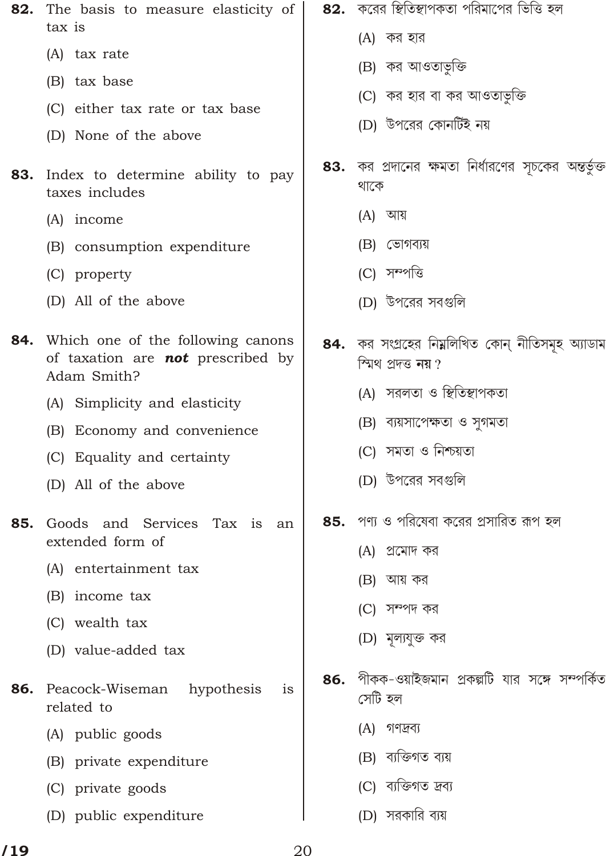- The basis to measure elasticity of 82. tax is
	- (A) tax rate
	- (B) tax base
	- (C) either tax rate or tax base
	- (D) None of the above
- **83.** Index to determine ability to pay taxes includes
	- (A) income
	- (B) consumption expenditure
	- (C) property
	- (D) All of the above
- 84. Which one of the following canons of taxation are **not** prescribed by Adam Smith?
	- (A) Simplicity and elasticity
	- (B) Economy and convenience
	- (C) Equality and certainty
	- (D) All of the above
- Goods and Services Tax is 85. an extended form of
	- (A) entertainment tax
	- (B) income tax
	- (C) wealth tax
	- (D) value-added tax
- 86. Peacock-Wiseman hypothesis is related to
	- (A) public goods
	- (B) private expenditure
	- (C) private goods
	- (D) public expenditure
- 82. করের স্থিতিস্থাপকতা পরিমাপের ভিত্তি হল
	- $(A)$  কর হার
	- (B) কর আওতার্ভুক্তি
	- (C) কর হার বা কর আওতাভক্তি
	- (D) উপরের কোনর্টিই নয়
- কর প্রদানের ক্ষমতা নির্ধারণের সূচকের অন্তর্ভুক্ত 83. থাকে
	- (A) আয়
	- (B) ভোগব্যয়
	- (C) সম্পত্তি
	- (D) উপরের সবগুলি
- 84. কর সংগ্রহের নিম্নলিখিত কোন্ নীতিসমূহ অ্যাডাম স্মিথ প্ৰদত্ত নয়?
	- (A) সরলতা ও স্থিতিস্থাপকতা
	- (B) ব্যয়সাপেক্ষতা ও সুগমতা
	- (C) সমতা ও নিশ্চয়তা
	- (D) উপরের সবগুলি
- পণ্য ও পরিষেবা করের প্রসারিত রূপ হল 85.
	- (A) প্রমোদ কর
	- $(B)$  আয় কর
	- (C) সম্পদ কর
	- (D) মূল্যযুক্ত কর
- পীকক-ওয়াইজমান প্রকল্পটি যার সঙ্গে সম্পর্কিত 86. সেটি হল
	- (A) গণদ্রব্য
	- (B) ব্যক্তিগত ব্যয়
	- (C) ব্যক্তিগত দ্ৰব্য
	- (D) সরকারি ব্যয়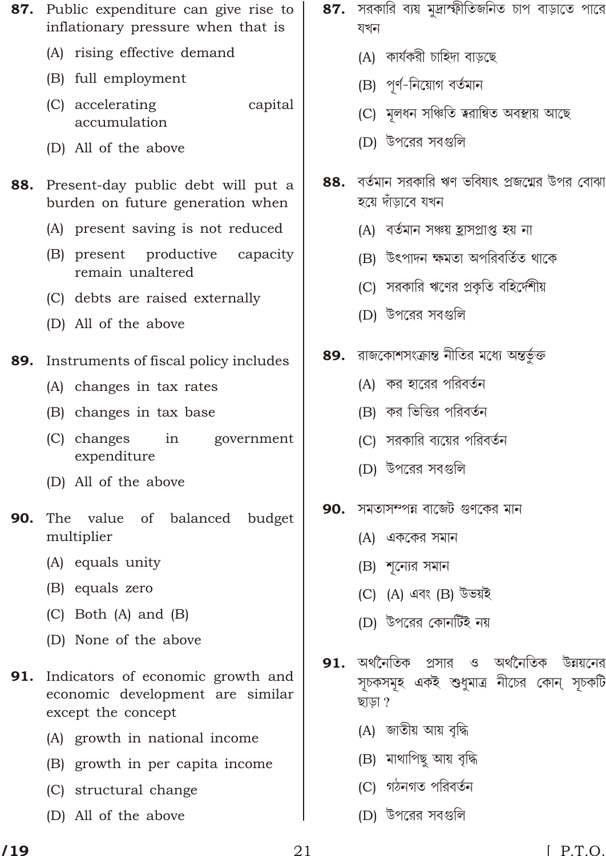- 87. Public expenditure can give rise to inflationary pressure when that is
	- (A) rising effective demand
	- (B) full employment
	- (C) accelerating capital accumulation
	- (D) All of the above
- Present-day public debt will put a 88. burden on future generation when
	- (A) present saving is not reduced
	- (B) present productive capacity remain unaltered
	- (C) debts are raised externally
	- (D) All of the above
- Instruments of fiscal policy includes 89.
	- (A) changes in tax rates
	- (B) changes in tax base
	- (C) changes in government expenditure
	- (D) All of the above
- 90. The value of balanced budget multiplier
	- (A) equals unity
	- (B) equals zero
	- (C) Both (A) and (B)
	- (D) None of the above
- 91. Indicators of economic growth and economic development are similar except the concept
	- (A) growth in national income
	- (B) growth in per capita income
	- (C) structural change
	- (D) All of the above
- 87. সরকারি ব্যয় মুদ্রাস্ফীতিজনিত চাপ বাড়াতে পারে যখন
	- (A) কাৰ্যকরী চাহিদা বাডছে
	- (B) পূর্ণ-নিয়োগ বর্তমান
	- (C) মলধন সঞ্চিতি ত্বরান্বিত অবস্থায় আছে
	- (D) উপরের সবগুলি
- বর্তমান সরকারি ঋণ ভবিষ্যৎ প্রজন্মের উপর বোঝা 88. হয়ে দাঁডাবে যখন
	- (A) বর্তমান সঞ্চয় হ্রাসপ্রাপ্ত হয় না
	- (B) উৎপাদন ক্ষমতা অপরিবর্তিত থাকে
	- (C) সরকারি ঋণের প্রকৃতি বহির্দেশীয়
	- (D) উপরের সবগুলি
- 89. রাজকোশসংক্রান্ত নীতির মধ্যে অন্তর্ভুক্ত
	- (A) কর হারের পরিবর্তন
	- (B) কর ভিত্তির পরিবর্তন
	- (C) সরকারি ব্যয়ের পরিবর্তন
	- (D) উপরের সবগুলি
- সমতাসম্পন্ন বাজেট গুণকের মান 90.
	- (A) এককের সমান
	- (B) শন্যের সমান
	- (C) (A) এবং (B) উভয়ই
	- (D) উপরের কোনর্টিই নয়
- $\mathbf{91}$ ় অর্থনৈতিক প্রসার ও অর্থনৈতিক উন্নয়নের সূচকসমূহ একই শুধুমাত্র নীচের কোন্ সূচকটি ছাডা ?
	- (A) জাতীয় আয় বৃদ্ধি
	- (B) মাথাপিছ আয় বৃদ্ধি
	- (C) গঠনগত পরিবর্তন
	- (D) উপরের সবগুলি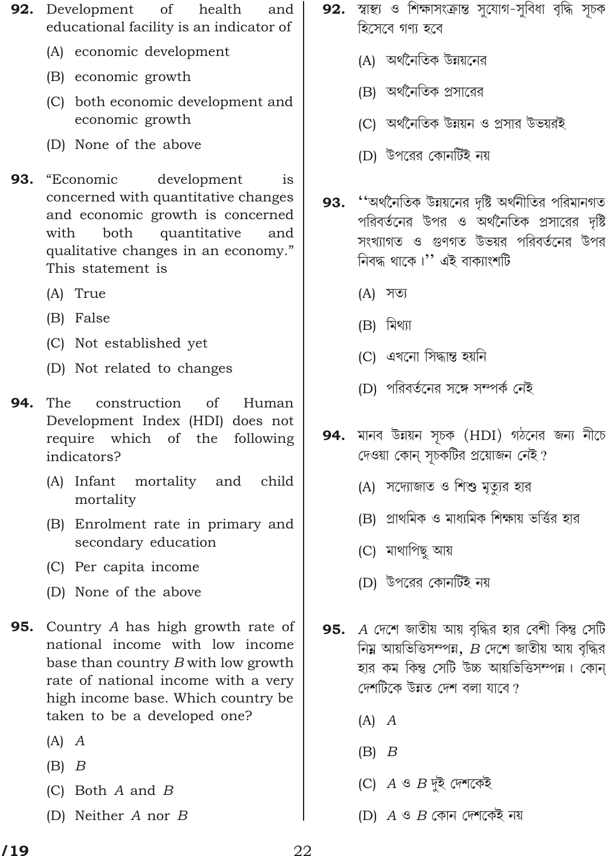- 92. Development of health and educational facility is an indicator of
	- (A) economic development
	- (B) economic growth
	- (C) both economic development and economic growth
	- (D) None of the above
- 93. "Economic development is concerned with quantitative changes and economic growth is concerned with both quantitative and qualitative changes in an economy." This statement is
	- (A) True
	- (B) False
	- (C) Not established yet
	- (D) Not related to changes
- 94. The construction of Human Development Index (HDI) does not require which of the following indicators?
	- (A) Infant mortality and child mortality
	- (B) Enrolment rate in primary and secondary education
	- (C) Per capita income
	- (D) None of the above
- 95. Country A has high growth rate of national income with low income base than country B with low growth rate of national income with a very high income base. Which country be taken to be a developed one?
	- $(A)$   $A$
	- $(B)$   $B$
	- (C) Both  $A$  and  $B$
	- (D) Neither  $A$  nor  $B$
- 92. স্বাস্থ্য ও শিক্ষাসংক্রান্ত সুযোগ-সুবিধা বৃদ্ধি সূচক হিসেবে গণ্য হবে
	- (A) অর্থনৈতিক উন্নয়নের
	- (B) অর্থনৈতিক প্রসারের
	- (C) অর্থনৈতিক উন্নয়ন ও প্রসার উভয়রই
	- (D) উপরের কোনর্টিই নয়
- ''অৰ্থনৈতিক উন্নয়নের দৃষ্টি অৰ্থনীতির পরিমানগত 93. পরিবর্তনের উপর ও অর্থনৈতিক প্রসারের দৃষ্টি সংখ্যাগত ও গুণগত উভয়র পরিবর্তনের উপর নিবদ্ধ থাকে।" এই বাক্যাংশটি
	- $(A)$  সত্য
	- $(B)$  মিথ্যা
	- (C) এখনো সিদ্ধান্ত হয়নি
	- (D) পরিবর্তনের সঙ্গে সম্পর্ক নেই
- 94. মানব উন্নয়ন সূচক (HDI) গঠনের জন্য নীচে দেওয়া কোন্ সূচকটির প্রয়োজন নেই?
	- (A) সদ্যোজাত ও শিশু মৃত্যুর হার
	- (B) প্রাথমিক ও মাধ্যমিক শিক্ষায় ভর্ত্তির হার
	- (C) মাথাপিছ আয়
	- (D) উপরের কোনর্টিই নয়
- 95. A দেশে জাতীয় আয় বৃদ্ধির হার বেশী কিন্তু সেটি নিয়ু আয়ভিত্তিসম্পন,  $B$  দেশে জাতীয় আয় বৃদ্ধির হার কম কিন্তু সেটি উচ্চ আয়ভিত্তিসম্পন্ন। কোন দেশটিকে উন্নত দেশ বলা যাবে ?
	- $(A)$   $A$
	- $(B)$   $B$
	- (C)  $A \triangleleft B$  দুই দেশকেই
	- (D)  $A \triangleleft B$  কোন দেশকেই নয়

22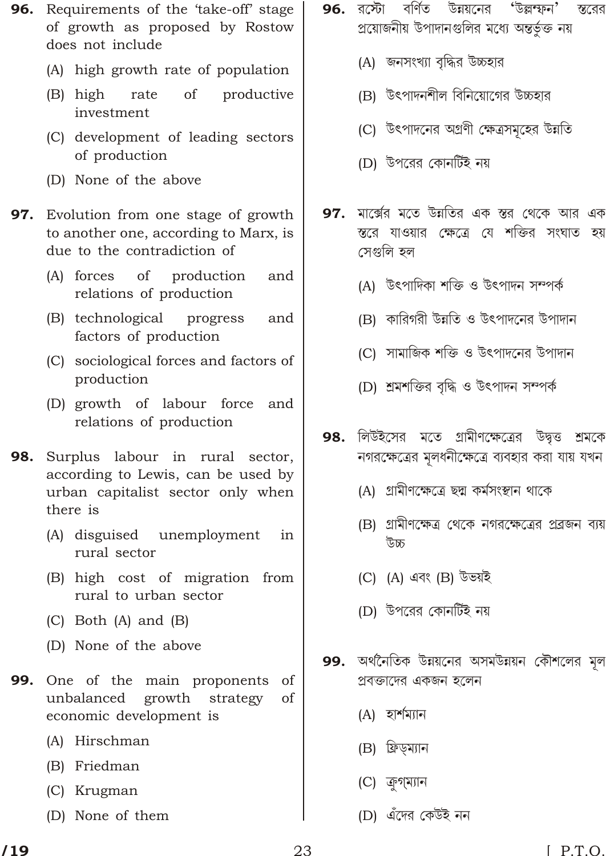- **96.** Requirements of the 'take-off' stage of growth as proposed by Rostow does not include
	- (A) high growth rate of population
	- (B) high rate of productive investment
	- (C) development of leading sectors of production
	- (D) None of the above
- 97. Evolution from one stage of growth to another one, according to Marx, is due to the contradiction of
	- (A) forces of production and relations of production
	- (B) technological progress and factors of production
	- (C) sociological forces and factors of production
	- (D) growth of labour force and relations of production
- 98. Surplus labour in rural sector, according to Lewis, can be used by urban capitalist sector only when there is
	- in (A) disguised unemployment rural sector
	- (B) high cost of migration from rural to urban sector
	- $(C)$  Both  $(A)$  and  $(B)$
	- (D) None of the above
- 99. One of the main proponents of unbalanced growth strategy of economic development is
	- (A) Hirschman
	- (B) Friedman
	- (C) Krugman
	- (D) None of them
- **96.** রস্টো বর্ণিত উন্নয়নের 'উল্লম্ফন' স্তরের প্রয়োজনীয় উপাদানগুলির মধ্যে অন্তর্ভুক্ত নয়
	- (A) জনসংখ্যা বৃদ্ধির উচ্চহার
	- (B) উৎপাদনশীল বিনিয়োগের উচ্চহার
	- (C) উৎপাদনের অগ্রণী ক্ষেত্রসমহের উন্নতি
	- (D) উপরের কোনর্টিই নয়
- 97. মার্ক্সের মতে উন্নতির এক স্তর থেকে আর এক স্তরে যাওয়ার ক্ষেত্রে যে শক্তির সংঘাত হয় সেগুলি হল
	- (A) উৎপাদিকা শক্তি ও উৎপাদন সম্পৰ্ক
	- (B) কারিগরী উন্নতি ও উৎপাদনের উপাদান
	- (C) সামাজিক শক্তি ও উৎপাদনের উপাদান
	- (D) শ্ৰমশক্তির বৃদ্ধি ও উৎপাদন সম্পর্ক
- 98. লিউইসের মতে গ্রামীণক্ষেত্রের উদ্বত্ত শ্রমকে নগরক্ষেত্রের মলধনীক্ষেত্রে ব্যবহার করা যায় যখন
	- (A) গ্রামীণক্ষেত্রে ছদ্ম কর্মসংস্থান থাকে
	- (B) গ্রামীণক্ষেত্র থেকে নগরক্ষেত্রের প্রব্রজন ব্যয় জৰ্ত
	- (C) (A) এবং (B) উভয়ই
	- (D) উপরের কোনর্টিই নয়
- 99. অর্থনৈতিক উন্নয়নের অসমউন্নয়ন কৌশলের মূল প্রবক্তাদের একজন হলেন
	- (A) হার্শম্যান
	- (B) ফ্রিড়ম্যান
	- (C) ক্ৰগ্ম্যান
	- (D) এঁদের কেউই নন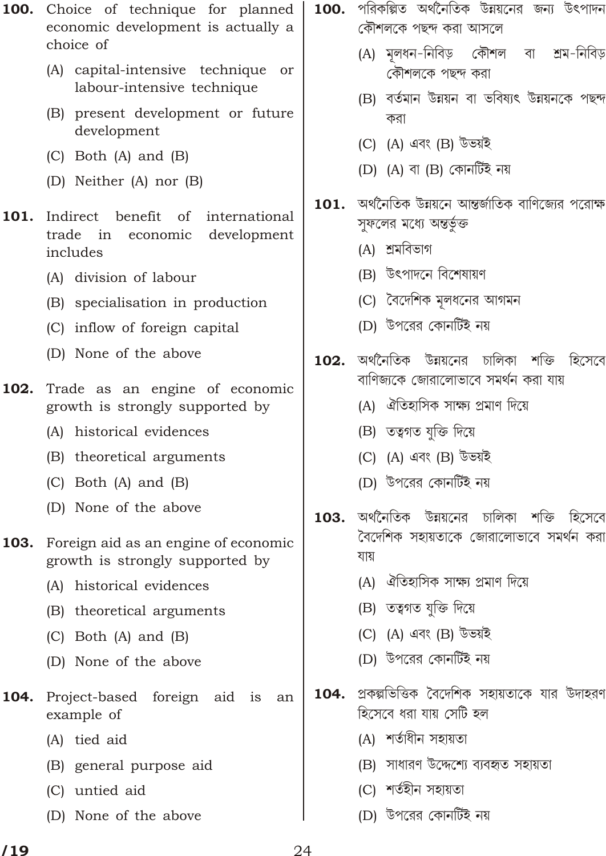- 100. Choice of technique for planned economic development is actually a choice of
	- (A) capital-intensive technique or labour-intensive technique
	- (B) present development or future development
	- $(C)$  Both  $(A)$  and  $(B)$
	- (D) Neither (A) nor (B)
- 101. Indirect benefit  $\alpha$ international trade in economic development includes
	- (A) division of labour
	- (B) specialisation in production
	- (C) inflow of foreign capital
	- (D) None of the above
- Trade as an engine of economic 102. growth is strongly supported by
	- (A) historical evidences
	- (B) theoretical arguments
	- (C) Both (A) and (B)
	- (D) None of the above
- Foreign aid as an engine of economic 103. growth is strongly supported by
	- (A) historical evidences
	- (B) theoretical arguments
	- $(C)$  Both  $(A)$  and  $(B)$
	- (D) None of the above
- 104. Project-based foreign aid is an example of
	- (A) tied aid
	- (B) general purpose aid
	- (C) untied aid
	- (D) None of the above
- 100. পরিকল্পিত অর্থনৈতিক উন্নয়নের জন্য উৎপাদন কৌশলকে পছন্দ করা আসলে
	- (A) মলধন-নিবিড কৌশল শ্ৰম-নিবিড বা কৌশলকে পছন্দ করা
	- (B) বৰ্তমান উন্নয়ন বা ভবিষ্যৎ উন্নয়নকে পছন্দ করা
	- (C) (A) এবং (B) উভয়ই
	- (D)  $(A)$  বা  $(B)$  কোনর্টিই নয়
- অর্থনৈতিক উন্নয়নে আন্তর্জাতিক বাণিজ্যের পরোক্ষ 101. সুফলের মধ্যে অন্তর্ভুক্ত
	- (A) শ্ৰমবিভাগ
	- (B) উৎপাদনে বিশেষায়ণ
	- (C) বৈদেশিক মূলধনের আগমন
	- (D) উপরের কোনর্টিই নয়
- অর্থনৈতিক উন্নয়নের চালিকা শক্তি হিসেবে  $102.$ বাণিজকে জোরালোভাবে সমর্থন করা যায়
	- (A) ঐতিহাসিক সাক্ষ্য প্রমাণ দিয়ে
	- (B) তত্বগত যক্তি দিয়ে
	- (C) (A) এবং (B) উভয়ই
	- (D) উপরের কোনর্টিই নয়
- <sup>ন</sup>অৰ্থনৈতিক উন্নয়নের চালিকা শক্তি হিসেবে 103. বৈদেশিক সহায়তাকে জোরালোভাবে সমর্থন করা যায়
	- (A) ঐতিহাসিক সাক্ষ্য প্রমাণ দিয়ে
	- (B) তত্বগত যুক্তি দিয়ে
	- (C) (A) এবং (B) উভয়ই
	- (D) উপরের কোনর্টিই নয়
- প্রকল্পভিত্তিক বৈদেশিক সহায়তাকে যার উদাহরণ 104. হিসেবে ধরা যায় সেটি হল
	- (A) শর্তাধীন সহায়তা
	- (B) সাধারণ উদ্দেশ্যে ব্যবহৃত সহায়তা
	- (C) শর্তহীন সহায়তা
	- (D) উপরের কোনর্টিই নয়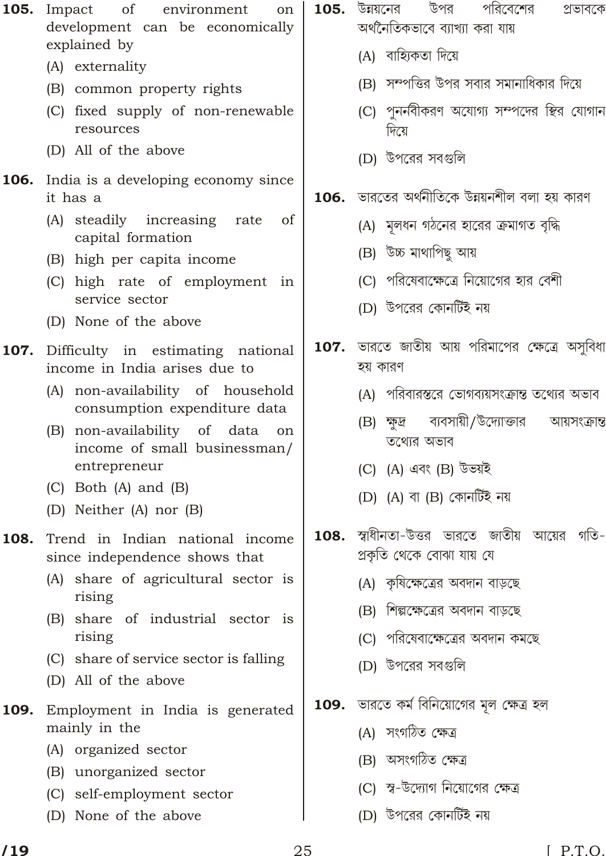- 105. Impact of environment on development can be economically explained by
	- (A) externality
	- (B) common property rights
	- (C) fixed supply of non-renewable resources
	- (D) All of the above
- 106. India is a developing economy since it has a
	- (A) steadily increasing rate of capital formation
	- (B) high per capita income
	- (C) high rate of employment in service sector
	- (D) None of the above
- 107. Difficulty in estimating national income in India arises due to
	- (A) non-availability of household consumption expenditure data
	- (B) non-availability of data on income of small businessman/ entrepreneur
	- (C) Both (A) and (B)
	- (D) Neither (A) nor (B)
- 108. Trend in Indian national income since independence shows that
	- (A) share of agricultural sector is rising
	- (B) share of industrial sector is rising
	- (C) share of service sector is falling
	- (D) All of the above
- 109. Employment in India is generated mainly in the
	- (A) organized sector
	- (B) unorganized sector
	- (C) self-employment sector
	- (D) None of the above
- 105. উন্নয়নের উপর পরিবেশের প্রভাবকে অৰ্থনৈতিকভাবে ব্যাখ্যা করা যায়
	- (A) বাহ্যিকতা দিয়ে
	- (B) সম্পত্তির উপর সবার সমানাধিকার দিয়ে
	- (C) পননবীকরণ অযোগ্য সম্পদের স্থির যোগান দিয়ে $\overline{a}$
	- (D) উপরের সবগুলি
- $106.$  ভারতের অর্থনীতিকে উন্নয়নশীল বলা হয় কারণ
	- (A) মলধন গঠনের হারের ক্রমাগত বৃদ্ধি
	- (B) উচ্চ মাথাপিছ আয়
	- (C) পরিষেবাক্ষেত্রে নিয়োগের হার বেশী
	- (D) উপরের কোনর্টিই নয়
- $\bf{107.}$  ভারতে জাতীয় আয় পরিমাপের ক্ষেত্রে অসুবিধা হয় কারণ
	- (A) পরিবারস্তরে ভোগব্যয়সংক্রান্ত তথ্যের অভাব
	- (B) ক্ষুদ্র ব্যবসায়ী/উদ্যোক্তার আয়সংক্রান্ত তথ্যের অভাব
	- (C) (A) এবং (B) উভয়ই
	- (D) (A) বা (B) কোনৰ্টিই নয়
- $\bf{108.}$  স্বাধীনতা-উত্তর ভারতে জাতীয় আয়ের গতি-গ্রকৃতি থেকে বোঝা যায় যে
	- (A) কৃষিক্ষেত্রের অবদান বাড়ছে
	- (B) শিল্পক্ষেত্রের অবদান বাড়ছে
	- (C) পরিষেবাক্ষেত্রের অবদান কমছে
	- (D) উপরের সবগুলি
- 109. ভারতে কর্ম বিনিয়োগের মূল ক্ষেত্র হল
	- (A) সংগঠিত ক্ষেত্ৰ
	- (B) অসংগঠিত ক্ষেত্ৰ
	- (C) স্ব-উদ্যোগ নিয়োগের ক্ষেত্র
	- (D) উপরের কোনর্টিই নয়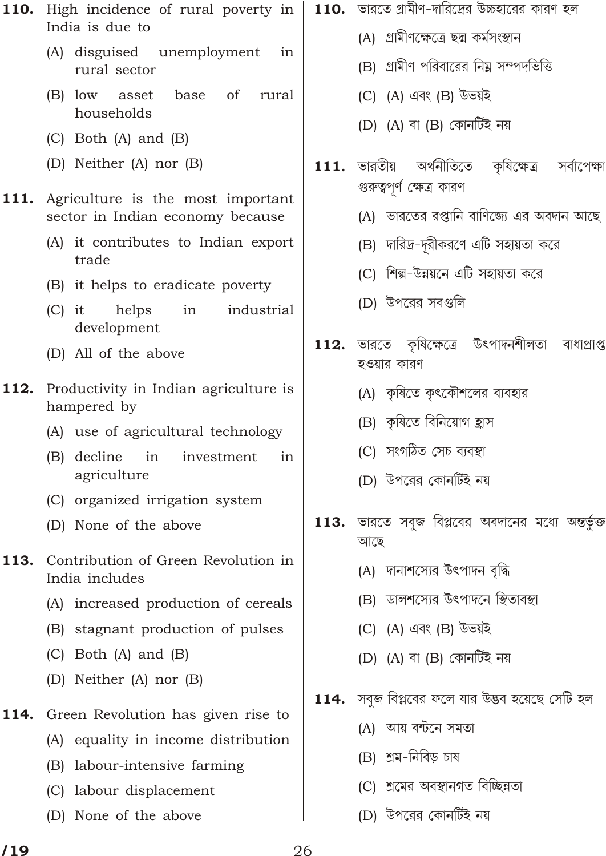- 110. High incidence of rural poverty in India is due to
	- (A) disguised unemployment in rural sector
	- $\alpha$ f  $(B)$  low asset base rural households
	- (C) Both (A) and (B)
	- (D) Neither (A) nor (B)
- 111. Agriculture is the most important sector in Indian economy because
	- (A) it contributes to Indian export trade
	- (B) it helps to eradicate poverty
	- $(C)$  it helps in industrial development
	- (D) All of the above
- **112.** Productivity in Indian agriculture is hampered by
	- (A) use of agricultural technology
	- (B) decline in investment in agriculture
	- (C) organized irrigation system
	- (D) None of the above
- 113. Contribution of Green Revolution in India includes
	- (A) increased production of cereals
	- (B) stagnant production of pulses
	- $(C)$  Both  $(A)$  and  $(B)$
	- (D) Neither (A) nor (B)
- 114. Green Revolution has given rise to
	- (A) equality in income distribution
	- (B) labour-intensive farming
	- (C) labour displacement
	- (D) None of the above
- $\,$  110.  $\,$  ভারতে গ্রামীণ-দারিদ্রের উচ্চহারের কারণ হল
	- (A) গ্রামীণক্ষেত্রে ছদ্ম কর্মসংস্থান
	- (B) গ্রামীণ পরিবারের নিয়ু সম্পদভিত্তি
	- (C) (A) এবং (B) উভয়ই
	- (D)  $(A)$  বা  $(B)$  কোনর্টিই নয়
- ভারতীয় অৰ্থনীতিতে কষিক্ষেত্ৰ সৰ্বাপেক্ষা 111. গুরুত্বপূর্ণ ক্ষেত্র কারণ
	- (A) ভারতের রপ্তানি বাণিজ্যে এর অবদান আছে
	- (B) দারিদ্র-দূরীকরণে এটি সহায়তা করে
	- (C) শিল্প-উন্নয়নে এটি সহায়তা করে
	- (D) উপরের সবগুলি
- কৃষিক্ষেত্রে উৎপাদনশীলতা 112. ভারতে বাধাপ্ৰাপ্ত হওয়ার কারণ
	- (A) কৃষিতে কৎকৌশলের ব্যবহার
	- (B) কৃষিতে বিনিয়োগ হ্ৰাস
	- (C) সংগঠিত সেচ ব্যবস্থা
	- (D) উপরের কোনর্টিই নয়
- ভারতে সবুজ বিপ্লবের অবদানের মধ্যে অন্তর্ভুক্ত 113. আছে
	- (A) দানাশস্যের উৎপাদন বদ্ধি
	- (B) ডালশস্যের উৎপাদনে স্থিতাবস্থা
	- (C) (A) এবং (B) উভয়ই
	- (D)  $(A)$  বা  $(B)$  কোনর্টিই নয়
- 114. সবুজ বিপ্লবের ফলে যার উদ্ভব হয়েছে সেটি হল
	- (A) আয় বন্টনে সমতা
	- (B) শ্ৰম-নিবিড় চাষ
	- (C) শ্ৰমের অবস্থানগত বিচ্ছিন্নতা
	- (D) উপরের কোনর্টিই নয়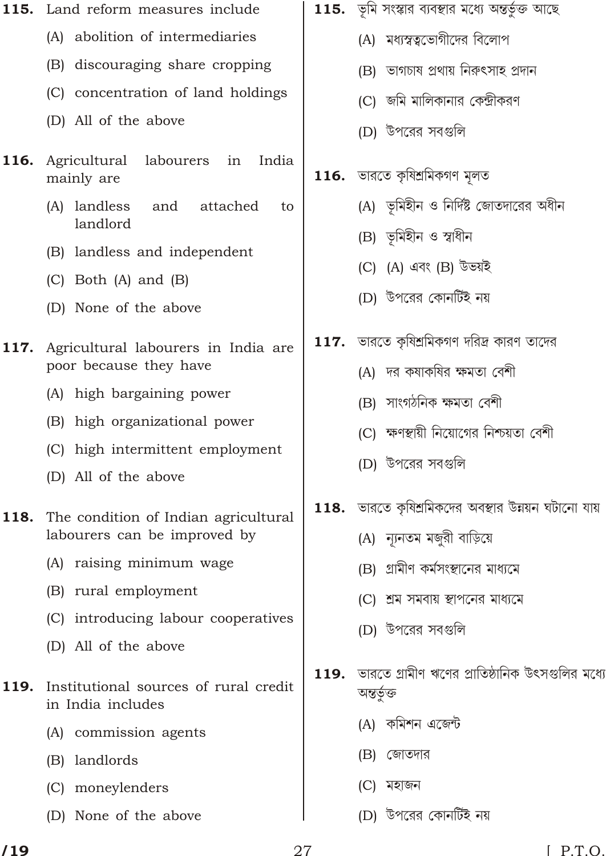- 115. Land reform measures include
	- (A) abolition of intermediaries
	- (B) discouraging share cropping
	- (C) concentration of land holdings
	- (D) All of the above
- 116. Agricultural labourers India in mainly are
	- (A) landless and attached to landlord
	- (B) landless and independent
	- $(C)$  Both  $(A)$  and  $(B)$
	- (D) None of the above
- 117. Agricultural labourers in India are poor because they have
	- (A) high bargaining power
	- (B) high organizational power
	- (C) high intermittent employment
	- (D) All of the above
- 118. The condition of Indian agricultural labourers can be improved by
	- (A) raising minimum wage
	- (B) rural employment
	- (C) introducing labour cooperatives
	- (D) All of the above
- Institutional sources of rural credit 119. in India includes
	- (A) commission agents
	- (B) landlords
	- (C) moneylenders
	- (D) None of the above
- $\,$  115.  $\,$  ভূমি সংস্কার ব্যবস্থার মধ্যে অন্তর্ভুক্ত আছে
	- (A) মধ্যস্বত্বভোগীদের বিলোপ
	- (B) ভাগচাষ প্ৰথায় নিরুৎসাহ প্রদান
	- (C) জমি মালিকানার কেন্দ্রীকরণ
	- (D) উপরের সবগুলি
- $116.$  ভারতে কৃষিশ্রমিকগণ মূলত
	- (A) ভূমিহীন ও নির্দিষ্ট জোতদারের অধীন
	- (B) ভূমিহীন ও স্বাধীন
	- (C) (A) এবং (B) উভয়ই
	- (D) উপরের কোনর্টিই নয়
- $117.$  ভারতে কৃষিশ্রমিকগণ দরিদ্র কারণ তাদের
	- (A) দর কষাকষির ক্ষমতা বেশী
	- (B) সাংগঠনিক ক্ষমতা বেশী
	- (C) ক্ষণস্থায়ী নিয়োগের নিশ্চয়তা বেশী
	- (D) উপরের সবগুলি
- 118. ভারতে কৃষিশ্রমিকদের অবস্থার উন্নয়ন ঘটানো যায়
	- (A) ন্যানতম মজুরী বাড়িয়ে
	- (B) গ্রামীণ কর্মসংস্থানের মাধ্যমে
	- (C) শ্ৰম সমবায় স্থাপনের মাধ্যমে
	- (D) উপরের সবগুলি
- ভারতে গ্রামীণ ঋণের প্রাতিষ্ঠানিক উৎসগুলির মধ্যে 119. অন্তৰ্ভুক্ত
	- (A) কমিশন এজেন্ট
	- (B) জোতদার
	- (C) মহাজন
	- (D) উপরের কোনর্টিই নয়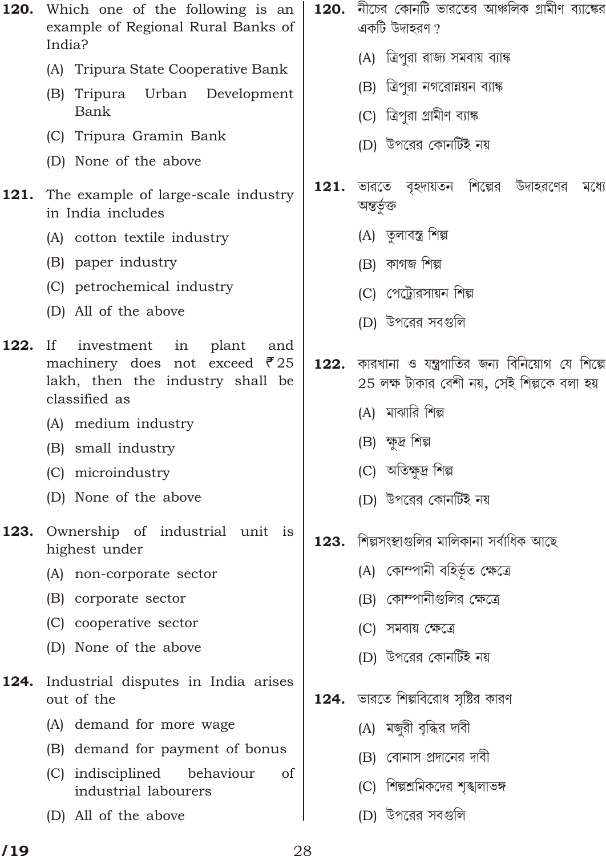- 120. Which one of the following is an example of Regional Rural Banks of India?
	- (A) Tripura State Cooperative Bank
	- (B) Tripura Urban Development Bank
	- (C) Tripura Gramin Bank
	- (D) None of the above
- 121. The example of large-scale industry in India includes
	- (A) cotton textile industry
	- (B) paper industry
	- (C) petrochemical industry
	- (D) All of the above
- $122.$ investment  $If$ in plant and machinery does not exceed  $\bar{\mathcal{F}}$  25 lakh, then the industry shall be classified as
	- (A) medium industry
	- (B) small industry
	- (C) microindustry
	- (D) None of the above
- 123. Ownership of industrial unit is highest under
	- (A) non-corporate sector
	- (B) corporate sector
	- (C) cooperative sector
	- (D) None of the above
- 124. Industrial disputes in India arises out of the
	- (A) demand for more wage
	- (B) demand for payment of bonus
	- (C) indisciplined behaviour <sub>of</sub> industrial labourers
	- (D) All of the above
- $\,$  120.  $\,$  নীচের কোনটি ভারতের আঞ্চলিক গ্রামীণ ব্যাঙ্কের একটি উদাহরণ  $\overline{?}$ 
	- (A) ত্রিপুরা রাজ্য সমবায় ব্যাঙ্ক
	- (B) ত্রিপুরা নগরোন্নয়ন ব্যাঙ্ক
	- (C) ত্রিপুরা গ্রামীণ ব্যাঙ্ক
	- (D) উপরের কোনর্টিই নয়
- ভারতে বৃহদায়তন শিল্পের 121. উদাহরণের মধ্যে অন্তৰ্ভুক্ত
	- (A) তৃলাবস্ত্র শিল্প
	- $(B)$  কাগজ শিল্প
	- (C) পেট্রোরসায়ন শিল্প
	- (D) উপরের সবগুলি
- কারখানা ও যন্ত্রপাতির জন্য বিনিয়োগ যে শিল্পে 122.  $25$  লক্ষ টাকার বেশী নয়, সেই শিল্পকে বলা হয়
	- (A) মাঝারি শিল্প
	- (B) ক্ষুদ্র শিল্প
	- (C) অতিক্ষুদ্ৰ শিল্প
	- (D) উপরের কোনর্টিই নয়
- $123.$  শিল্পসংস্থাপুলির মালিকানা সর্বাধিক আছে
	- (A) কোম্পানী বহিৰ্ভূত ক্ষেত্ৰে
	- (B) কোম্পানীগুলির ক্ষেত্রে
	- (C) সমবায় ক্ষেত্রে
	- (D) উপরের কোনর্টিই নয়
- $124.$  ভারতে শিল্পবিরোধ সৃষ্টির কারণ
	- (A) মজুরী বৃদ্ধির দাবী
	- (B) বোনাস প্রদানের দাবী
	- (C) শিল্পশ্রমিকদের শঙ্খলাভঙ্গ
	- (D) উপরের সবগুলি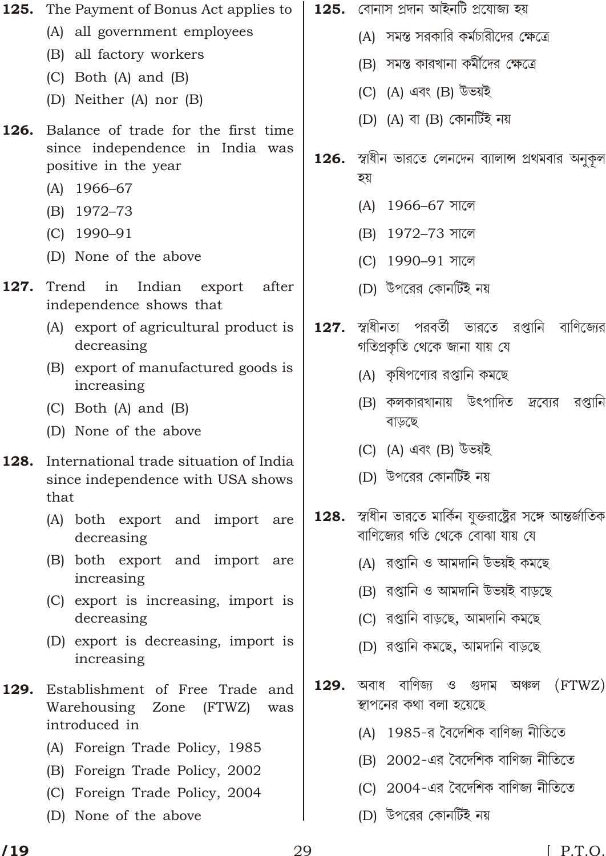| 125. | The Payment of Bonus Act applies to                                        |      | $125.$ বোনাস প্ৰদান আইনটি প্ৰযোজ্য হয়                                                          |
|------|----------------------------------------------------------------------------|------|-------------------------------------------------------------------------------------------------|
|      | (A) all government employees                                               |      | (A) সমস্ত সরকারি কর্মচারীদের ক্ষেত্রে                                                           |
|      | (B) all factory workers                                                    |      | (B) সমস্ত কারখানা কর্মীদের ক্ষেত্রে                                                             |
|      | $(C)$ Both $(A)$ and $(B)$<br>(D) Neither (A) nor (B)                      |      | (C) (A) এবং (B) উভয়ই                                                                           |
| 126. | Balance of trade for the first time                                        |      | (D) (A) বা (B) কোনৰ্টিই নয়                                                                     |
|      | since independence in India was<br>positive in the year                    |      | 126.  স্বাধীন ভারতে লেনদেন ব্যালান্স প্রথমবার অনুকূল<br>হয়                                     |
|      | $(A)$ 1966-67                                                              |      | $1966 - 67$ সালে<br>(A)                                                                         |
|      | (B) 1972-73<br>$(C)$ 1990-91                                               |      | (B) 1972-73 সালে                                                                                |
|      | (D) None of the above                                                      |      |                                                                                                 |
|      |                                                                            |      | (C) 1990-91 সালে                                                                                |
| 127. | Trend<br>in<br>Indian<br>after<br>export<br>independence shows that        |      | (D) উপরের কোনর্টিই নয়                                                                          |
|      | (A) export of agricultural product is<br>decreasing                        | 127. | স্বাধীনতা পরবর্তী ভারতে রপ্তানি<br>বাণিজ্যের<br>গতিপ্ৰকৃতি থেকে জানা যায় যে                    |
|      | (B) export of manufactured goods is<br>increasing                          |      | (A) কৃষিপণ্যের রপ্তানি কমছে                                                                     |
|      | $(C)$ Both $(A)$ and $(B)$                                                 |      | (B) কলকারখানায় উৎপাদিত <i>দ্রব্যে</i> র<br>রপ্তানি                                             |
|      | (D) None of the above                                                      |      | বাড়ছে                                                                                          |
| 128. | International trade situation of India                                     |      | (C) (A) এবং (B) উভয়ই                                                                           |
|      | since independence with USA shows<br>that                                  |      | (D) উপরের কোনর্টিই নয়                                                                          |
|      | (A) both export and import are<br>decreasing                               |      | 128.  স্বাধীন ভারতে মার্কিন যুক্তরাষ্ট্রের সঙ্গে আন্তর্জাতিক<br>বাণিজ্যের গতি থেকে বোঝা যায় যে |
|      | (B) both export and import are                                             |      | (A) রপ্তানি ও আমদানি উভয়ই কমছে                                                                 |
|      | increasing                                                                 |      | (B) রপ্তানি ও আমদানি উভয়ই বাড়ছে                                                               |
|      | (C) export is increasing, import is<br>decreasing                          |      | (C) রপ্তানি বাড়ছে, আমদানি কমছে                                                                 |
|      | (D) export is decreasing, import is<br>increasing                          |      | (D) রপ্তানি কমছে, আমদানি বাড়ছে                                                                 |
| 129. | Establishment of Free Trade<br>and<br>Warehousing<br>Zone<br>(FTWZ)<br>was | 129. | অবাধ বাণিজ্য ও গুদাম অঞ্চল<br>(FTWZ)<br>স্থাপনের কথা বলা হয়েছে                                 |
|      | introduced in                                                              |      | (A) 1985-র বৈদেশিক বাণিজ্য নীতিতে                                                               |
|      | (A) Foreign Trade Policy, 1985                                             |      | (B) 2002-এর বৈদেশিক বাণিজ্য নীতিতে                                                              |
|      | (B) Foreign Trade Policy, 2002<br>(C) Foreign Trade Policy, 2004           |      | (C) 2004-এর বৈদেশিক বাণিজ্য নীতিতে                                                              |
|      | (D) None of the above                                                      |      | (D) উপরের কোনর্টিই নয়                                                                          |
|      |                                                                            |      |                                                                                                 |

(D) None of the above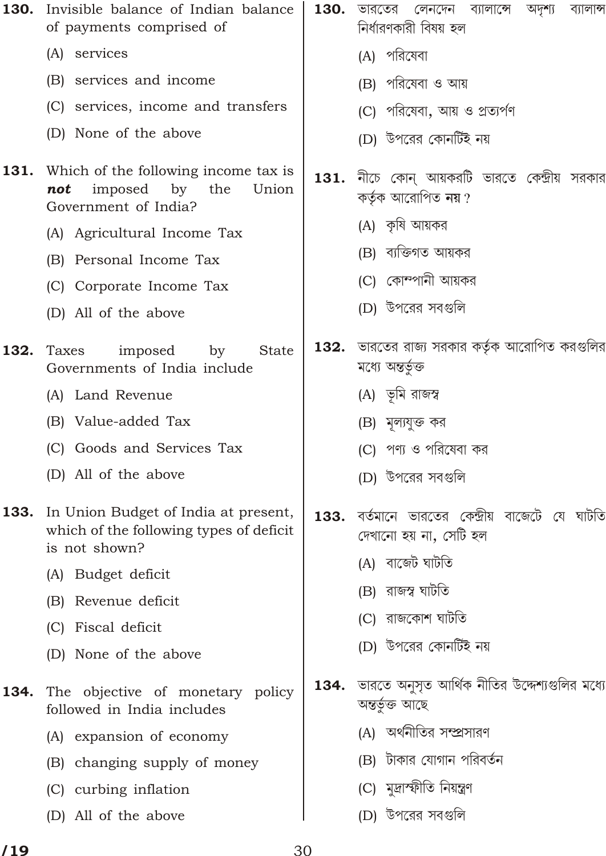| 130. | Invisible balance of Indian balance<br>of payments comprised of                                   |      | <b>130.</b> ভারতের<br>লেনদেন ব্যালান্সে অদৃশ্য<br>ব্যালান্স<br>নিৰ্ধারণকারী বিষয় হল |
|------|---------------------------------------------------------------------------------------------------|------|--------------------------------------------------------------------------------------|
|      | (A) services                                                                                      |      | (A) পরিষেবা                                                                          |
|      | (B) services and income                                                                           |      | (B) পরিষেবা ও আয়                                                                    |
|      | (C) services, income and transfers                                                                |      | (C) পরিষেবা, আয় ও প্রত্যর্পণ                                                        |
|      | (D) None of the above                                                                             |      | (D) উপরের কোনর্টিই নয়                                                               |
| 131. | Which of the following income tax is<br>imposed by<br>the<br>not<br>Union<br>Government of India? |      | $\,$ 131. নীচে কোন্ আয়করটি ভারতে কেন্দ্রীয় সরকার<br>কর্তৃক আরোপিত নয়?             |
|      | (A) Agricultural Income Tax                                                                       |      | (A) কৃষি আয়কর                                                                       |
|      | (B) Personal Income Tax                                                                           |      | (B) ব্যক্তিগত আয়কর                                                                  |
|      | (C) Corporate Income Tax                                                                          |      | (C) কোম্পানী আয়কর                                                                   |
|      | (D) All of the above                                                                              |      | (D) উপরের সবগুলি                                                                     |
| 132. | imposed<br>by<br><b>State</b><br>Taxes<br>Governments of India include                            | 132. | ভারতের রাজ্য সরকার কর্তৃক আরোপিত করগুলির<br>মধ্যে অন্তৰ্ভুক্ত                        |
|      | (A) Land Revenue                                                                                  |      | (A) ভূমি রাজস্ব                                                                      |
|      | (B) Value-added Tax                                                                               |      | (B) মূল্যযুক্ত কর                                                                    |
|      | (C) Goods and Services Tax                                                                        |      | (C) পণ্য ও পরিষেবা কর                                                                |
|      | (D) All of the above                                                                              |      | (D) উপরের সবগুলি                                                                     |
| 133. | In Union Budget of India at present,<br>which of the following types of deficit<br>is not shown?  | 133. | বর্তমানে ভারতের কেন্দ্রীয় বাজেটে যে ঘাটতি<br>দেখানো হয় না, সেটি হল                 |
|      | Budget deficit<br>(A)                                                                             |      | (A) বাজেট ঘাটতি                                                                      |
|      | Revenue deficit<br>(B)                                                                            |      | (B) রাজস্ব ঘাটতি                                                                     |
|      | Fiscal deficit<br>(C)                                                                             |      | (C) রাজকোশ ঘাটতি                                                                     |
|      | None of the above<br>(D)                                                                          |      | (D) উপরের কোনর্টিই নয়                                                               |
| 134. | The objective of monetary policy<br>followed in India includes                                    | 134. | ভারতে অনুসৃত আর্থিক নীতির উদ্দেশ্যগুলির মধ্যে<br>অন্তৰ্ভুক্ত আছে                     |
|      | (A) expansion of economy                                                                          |      | (A) অর্থনীতির সম্প্রসারণ                                                             |
|      | changing supply of money<br>(B)                                                                   |      | (B) টাকার যোগান পরিবর্তন                                                             |
|      | (C) curbing inflation                                                                             |      | (C) মুদ্ৰাস্ফীতি নিয়ন্ত্ৰণ                                                          |
|      | (D) All of the above                                                                              |      | (D) উপরের সবগুলি                                                                     |
|      |                                                                                                   |      |                                                                                      |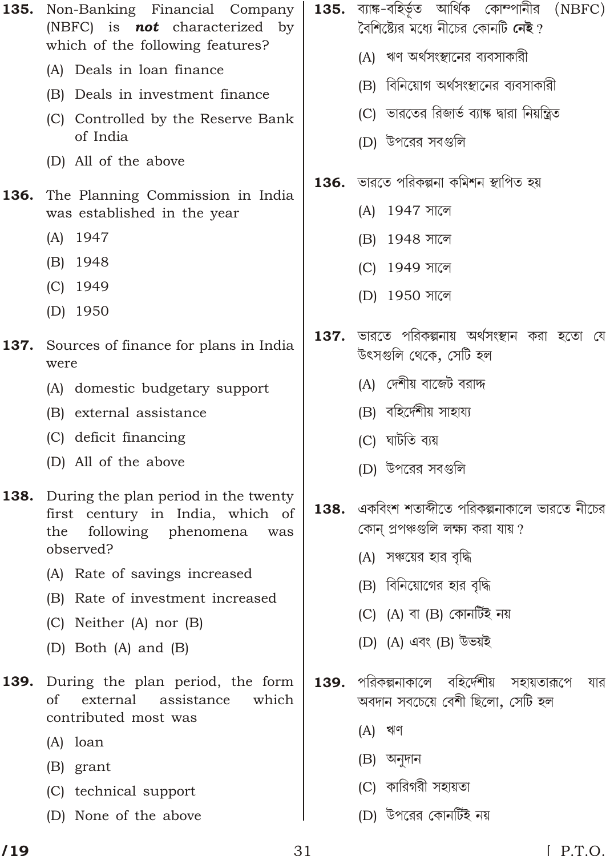| 135. | Non-Banking Financial Company<br>(NBFC) is <b>not</b> characterized by<br>which of the following features?                 | 135. | ব্যাঙ্ক-বহিৰ্ভূত আৰ্থিক কোম্পানীর (NBFC)<br>বৈশিষ্ট্যের মধ্যে নীচের কোনটি <b>নেই</b> ?<br>(A) ঋণ অর্থসংস্থানের ব্যবসাকারী |
|------|----------------------------------------------------------------------------------------------------------------------------|------|---------------------------------------------------------------------------------------------------------------------------|
|      | (A) Deals in loan finance                                                                                                  |      |                                                                                                                           |
|      | (B) Deals in investment finance                                                                                            |      | (B) বিনিয়োগ অর্থসংস্থানের ব্যবসাকারী                                                                                     |
|      | (C) Controlled by the Reserve Bank<br>of India                                                                             |      | (C) ভারতের রিজার্ভ ব্যাঙ্ক দ্বারা নিয়ন্ত্রিত<br>(D) উপরের সবগুলি                                                         |
|      | (D) All of the above                                                                                                       |      |                                                                                                                           |
| 136. | The Planning Commission in India<br>was established in the year                                                            |      | <b>136.</b> ভারতে পরিকল্পনা কমিশন স্থাপিত হয়<br>(A) 1947 সালে                                                            |
|      | $(A)$ 1947                                                                                                                 |      | 1948 সালে<br>(B)                                                                                                          |
|      | (B) 1948                                                                                                                   |      | 1949 সালে<br>(C)                                                                                                          |
|      | $(C)$ 1949                                                                                                                 |      |                                                                                                                           |
|      | $(D)$ 1950                                                                                                                 |      | (D) 1950 সালে                                                                                                             |
| 137. | Sources of finance for plans in India<br>were                                                                              | 137. | ভারতে পরিকল্পনায় অর্থসংস্থান করা হতো যে<br>উৎসগুলি থেকে, সেটি হল                                                         |
|      | (A) domestic budgetary support                                                                                             |      | (A) দেশীয় বাজেট বরাদ্দ                                                                                                   |
|      | (B) external assistance                                                                                                    |      | (B) বহির্দেশীয় সাহায্য                                                                                                   |
|      | (C) deficit financing                                                                                                      |      | (C) ঘাটতি ব্যয়                                                                                                           |
|      | (D) All of the above                                                                                                       |      | (D) উপরের সবগুলি                                                                                                          |
| 138. | During the plan period in the twenty<br>first century in India, which of<br>following phenomena<br>the<br>was<br>observed? | 138. | একবিংশ শতাব্দীতে পরিকল্পনাকালে ভারতে নীচের<br>কোন্ প্রপঞ্চগুলি লক্ষ্য করা যায় ?<br>(A) সঞ্চয়ের হার বৃদ্ধি               |
|      | (A) Rate of savings increased                                                                                              |      | (B) বিনিয়োগের হার বৃদ্ধি                                                                                                 |
|      | (B) Rate of investment increased                                                                                           |      | (C) (A) বা (B) কোনটিই নয়                                                                                                 |
|      | (C) Neither (A) nor (B)                                                                                                    |      |                                                                                                                           |
|      | (D) Both (A) and (B)                                                                                                       |      | (D) (A) এবং (B) উভয়ই                                                                                                     |
| 139. | During the plan period, the form<br>of<br>external<br>assistance<br>which<br>contributed most was                          | 139. | পরিকল্পনাকালে বহির্দেশীয়<br>সহায়তারূপে<br>যার<br>অবদান সবচেয়ে বেশী ছিলো, সেটি হল                                       |
|      | $(A)$ loan                                                                                                                 |      | (A) 채이                                                                                                                    |
|      | (B) grant                                                                                                                  |      | (B) অনুদান                                                                                                                |
|      | (C) technical support                                                                                                      |      | (C) কারিগরী সহায়তা                                                                                                       |

(D) None of the above

 $\overline{\phantom{a}}$ 

(D) উপরের কোনর্টিই নয়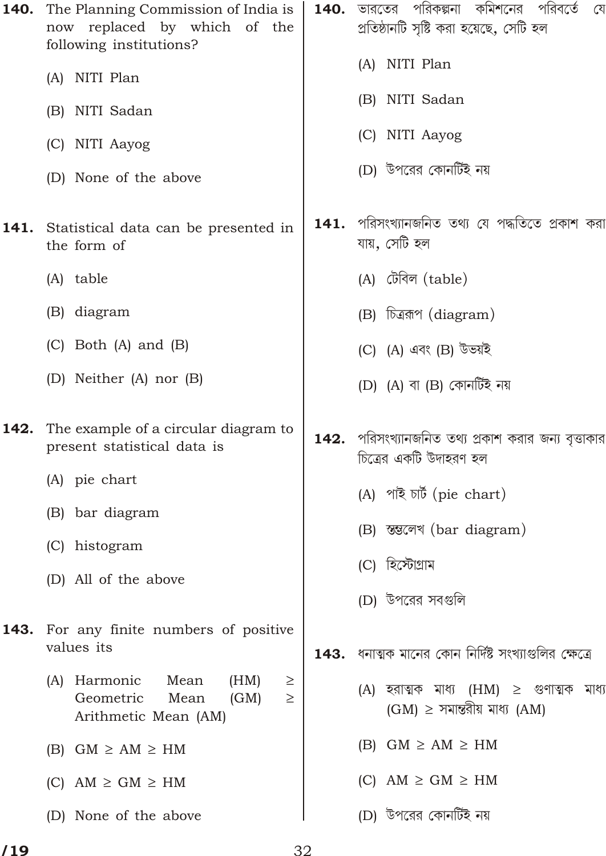|      | The Planning Commission of India is<br>now replaced by which of the<br>following institutions? | 140. | ভারতের পরিকল্পনা কমিশনের পরিবর্তে<br>্বে<br>প্রতিষ্ঠানটি সৃষ্টি করা হয়েছে, সেটি হল |
|------|------------------------------------------------------------------------------------------------|------|-------------------------------------------------------------------------------------|
|      | (A) NITI Plan                                                                                  |      | (A) NITI Plan                                                                       |
|      | (B) NITI Sadan                                                                                 |      | (B) NITI Sadan                                                                      |
|      | (C) NITI Aayog                                                                                 |      | (C) NITI Aayog                                                                      |
|      | (D) None of the above                                                                          |      | (D) উপরের কোনর্টিই নয়                                                              |
| 141. | Statistical data can be presented in<br>the form of                                            | 141. | পরিসংখ্যানজনিত তথ্য যে পদ্ধতিতে প্রকাশ করা<br>যায়, সেটি হল                         |
|      | (A) table                                                                                      |      | (A) টেবিল (table)                                                                   |
|      | (B) diagram                                                                                    |      | (B) চিত্ররূপ (diagram)                                                              |
|      | $(C)$ Both $(A)$ and $(B)$                                                                     |      | (C) (A) এবং (B) উভয়ই                                                               |
|      | (D) Neither (A) nor (B)                                                                        |      | (D) (A) বা (B) কোনটিই নয়                                                           |
| 142. | The example of a circular diagram to<br>present statistical data is                            | 142. | পরিসংখ্যানজনিত তথ্য প্রকাশ করার জন্য বৃত্তাকার<br>চিত্রের একটি উদাহরণ হল            |
|      | (A) pie chart                                                                                  |      |                                                                                     |
|      |                                                                                                |      |                                                                                     |
|      | (B) bar diagram                                                                                |      | (A) পাই চাৰ্ট (pie chart)                                                           |
|      | (C) histogram                                                                                  |      | (B) ন্তুলেখ (bar diagram)                                                           |
|      | (D) All of the above                                                                           |      | (C) হিস্টোগ্রাম                                                                     |
|      |                                                                                                |      | (D) উপরের সবগুলি                                                                    |
|      | 143. For any finite numbers of positive<br>values its                                          |      | 143.  ধনাত্মক মানের কোন নির্দিষ্ট সংখ্যাগুলির ক্ষেত্রে                              |
|      | (A) Harmonic<br>Mean<br>(HM)<br>Geometric<br>Mean<br>(GM)<br>Arithmetic Mean (AM)              |      | (A) হরাত্মক মাধ্য (HM)<br>সমান্তরীয় মাধ্য (AM)<br>(GM)                             |
|      | $(B)$ GM<br>AM<br>HM                                                                           |      | HM<br>$(B)$ GM<br>AM                                                                |
|      | <b>GM</b><br>$(C)$ AM<br>HM                                                                    |      | গুণাত্মক মাধ্য<br>$(C)$ AM<br>GM<br>HM                                              |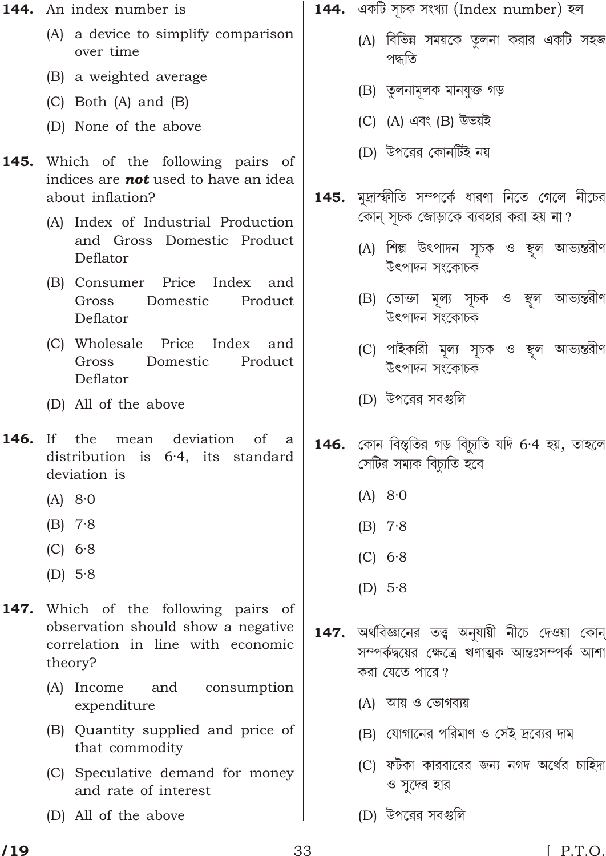- **144.** An index number is
	- (A) a device to simplify comparison over time
	- (B) a weighted average
	- $(C)$  Both  $(A)$  and  $(B)$
	- (D) None of the above
- 145. Which of the following pairs of indices are **not** used to have an idea about inflation?
	- (A) Index of Industrial Production and Gross Domestic Product Deflator
	- (B) Consumer Price Index and Gross Domestic Product Deflator
	- (C) Wholesale Price Index and Domestic Product Gross Deflator
	- (D) All of the above
- 146.  $If$ the mean deviation of a distribution is 6.4, its standard deviation is
	- $(A)$  8.0
	- $(B)$  7.8
	- $(C) 6.8$
	- $(D)$  5.8
- Which of the following pairs of 147. observation should show a negative correlation in line with economic theory?
	- (A) Income and consumption expenditure
	- (B) Quantity supplied and price of that commodity
	- (C) Speculative demand for money and rate of interest
	- (D) All of the above
- **144.** একটি সূচক সংখ্যা (Index number) হল
	- (A) বিভিন্ন সময়কে তৃলনা করার একটি সহজ পদ্ধতি
	- (B) তুলনামূলক মানযুক্ত গড়
	- (C) (A) এবং (B) উভয়ই
	- (D) উপরের কোনটিই নয়
- **145.** মুদ্রাস্ফীতি সম্পর্কে ধারণা নিতে গেলে নীচের কোন সূচক জোড়াকে ব্যবহার করা হয় না?
	- (A) শিল্প উৎপাদন সূচক ও স্থল আভ্যন্তরীণ উৎপাদন সংকোচক
	- (B) ভোক্তা মূল্য সূচক ও স্থূল আভ্যন্তরীণ উৎপাদন সংকোচক
	- (C) পাইকারী মূল্য সূচক ও স্থল আভ্যন্তরীণ উৎপাদন সংকোচক
	- (D) উপরের সবগুলি
- $146.$  কোন বিস্তৃতির গড় বিচ্যতি যদি 6.4 হয়, তাহলে সেটির সম্যক বিচ্যুতি হবে
	- $(A)$  8.0
	- $(B)$  7.8
	- $(C) 6.8$
	- (D)  $5.8$
- অৰ্থবিজ্ঞানের তত্ত্ব অনুযায়ী নীচে দেওয়া কোন 147. সম্পর্কদ্বয়ের ক্ষেত্রে ঋণাত্মক আন্তঃসম্পর্ক আশা করা যেতে পারে?
	- (A) আয় ও ভোগব্যয়
	- (B) যোগানের পরিমাণ ও সেই দ্রব্যের দাম
	- (C) ফটকা কারবারের জন্য নগদ অর্থের চাহিদা ও সদের হার
	- (D) উপরের সবগুলি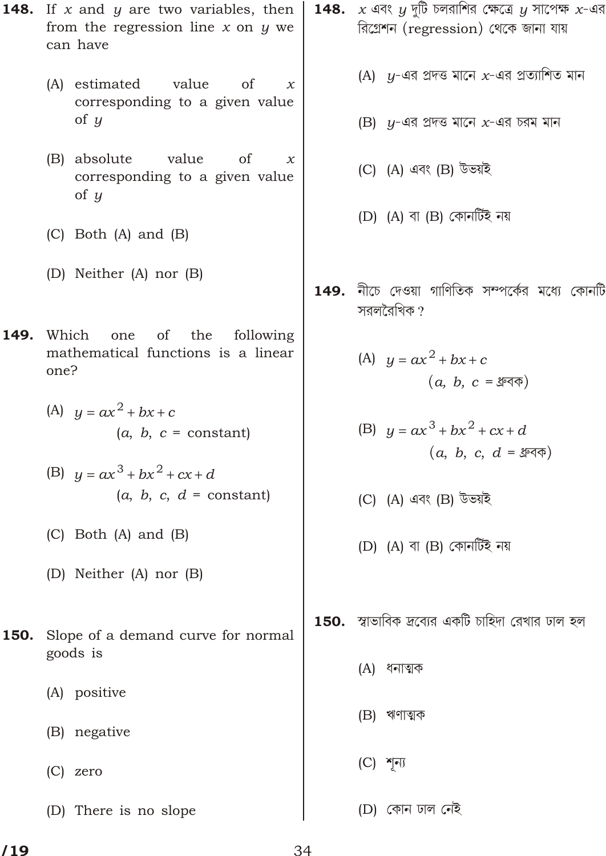$\,$  148.  $\,$  x এবং  $\,$   $\!$  দুটি চলরাশির ক্ষেত্রে  $\,$  সাপেক্ষ  $\,$  x-এর **148.** If x and y are two variables, then রিগ্রেশন (regression) থেকে জানা যায় from the regression line  $x$  on  $y$  we can have (A)  $y$ -এর প্রদত্ত মানে  $x$ -এর প্রত্যাশিত মান (A) estimated value <sub>of</sub>  $\mathcal{X}$ corresponding to a given value of  $u$  $(B)$   $y$ -এর প্রদত্ত মানে  $x$ -এর চরম মান (B) absolute value of  $\boldsymbol{\chi}$ (C) (A) এবং (B) উভয়ই corresponding to a given value of  $u$ (D)  $(A)$  বা  $(B)$  কোনর্টিই নয়  $(C)$  Both  $(A)$  and  $(B)$ (D) Neither (A) nor (B) 149. নীচে দেওয়া গাণিতিক সম্পর্কের মধ্যে কোনটি সরলরৈখিক ? Which the 149. one of following mathematical functions is a linear (A)  $y$   $ax^2$  bx c one?  $(a, b, c = \sqrt[3]{3})$ (A)  $y$   $ax^2$  bx c (B)  $u$   $ax^3$   $bx^2$   $cx$  d  $(a, b, c = constant)$  $(a, b, c, d = \text{Spec})$ (B)  $u$   $ax^3$   $bx^2$   $cx$  d  $(a, b, c, d = constant)$ (C) (A) এবং (B) উভয়ই  $(C)$  Both  $(A)$  and  $(B)$ (D) (A) বা (B) কোনৰ্টিই নয় (D) Neither (A) nor (B) 150. স্বাভাবিক দ্রব্যের একটি চাহিদা রেখার ঢাল হল Slope of a demand curve for normal 150. goods is (A) ধনাত্মক (A) positive (B) ঋণাত্মক (B) negative  $(C)$  শূন্য  $(C)$  zero  $(D)$  কোন ঢাল নেই (D) There is no slope

 $/19$